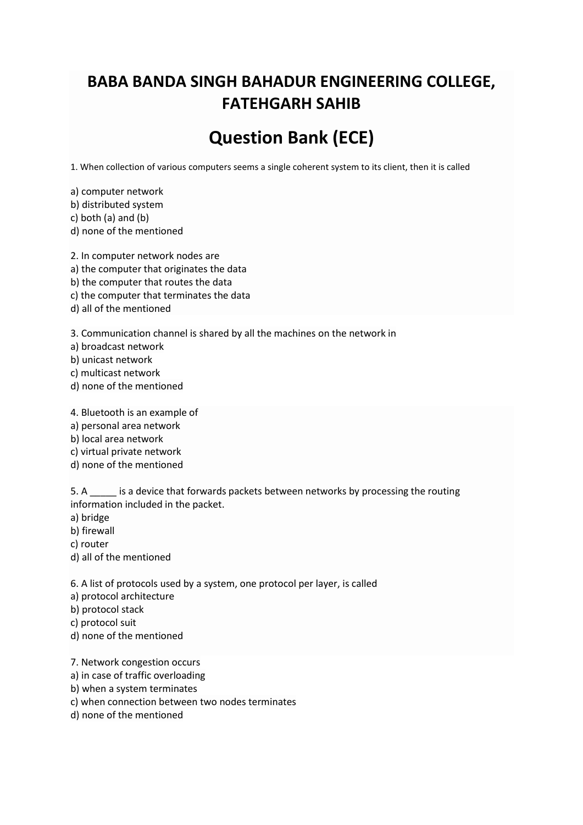## **BABA BANDA SINGH BAHADUR ENGINEERING COLLEGE, FATEHGARH SAHIB**

# **Question Bank (ECE)**

1. When collection of various computers seems a single coherent system to its client, then it is called

a) computer network b) distributed system c) both (a) and (b) d) none of the mentioned

2. In computer network nodes are

a) the computer that originates the data

b) the computer that routes the data

- c) the computer that terminates the data
- d) all of the mentioned

3. Communication channel is shared by all the machines on the network in

a) broadcast network

b) unicast network

- c) multicast network
- d) none of the mentioned
- 4. Bluetooth is an example of

a) personal area network

b) local area network

c) virtual private network

d) none of the mentioned

5. A \_\_\_\_\_ is a device that forwards packets between networks by processing the routing information included in the packet.

a) bridge

b) firewall

c) router

d) all of the mentioned

6. A list of protocols used by a system, one protocol per layer, is called

a) protocol architecture

b) protocol stack

c) protocol suit

d) none of the mentioned

7. Network congestion occurs

a) in case of traffic overloading

b) when a system terminates

c) when connection between two nodes terminates

d) none of the mentioned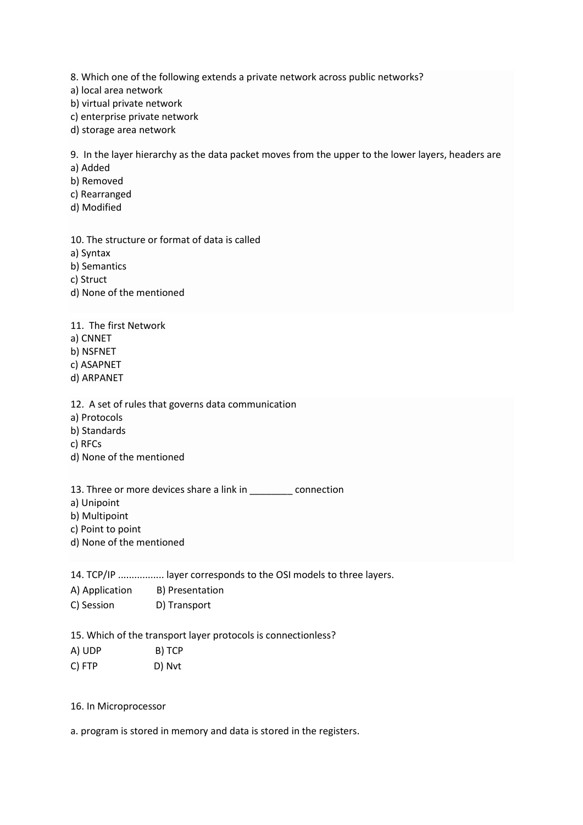8. Which one of the following extends a private network across public networks?

a) local area network

b) virtual private network

c) enterprise private network

d) storage area network

9. In the layer hierarchy as the data packet moves from the upper to the lower layers, headers are

a) Added

b) Removed

c) Rearranged

d) Modified

10. The structure or format of data is called a) Syntax b) Semantics c) Struct d) None of the mentioned

11. The first Network a) CNNET b) NSFNET c) ASAPNET d) ARPANET

12. A set of rules that governs data communication

a) Protocols

b) Standards

c) RFCs

d) None of the mentioned

13. Three or more devices share a link in example connection

a) Unipoint

b) Multipoint

c) Point to point

d) None of the mentioned

14. TCP/IP ................. layer corresponds to the OSI models to three layers.

A) Application B) Presentation C) Session D) Transport

15. Which of the transport layer protocols is connectionless?

A) UDP B) TCP

C) FTP D) Nvt

16. In Microprocessor

a. program is stored in memory and data is stored in the registers.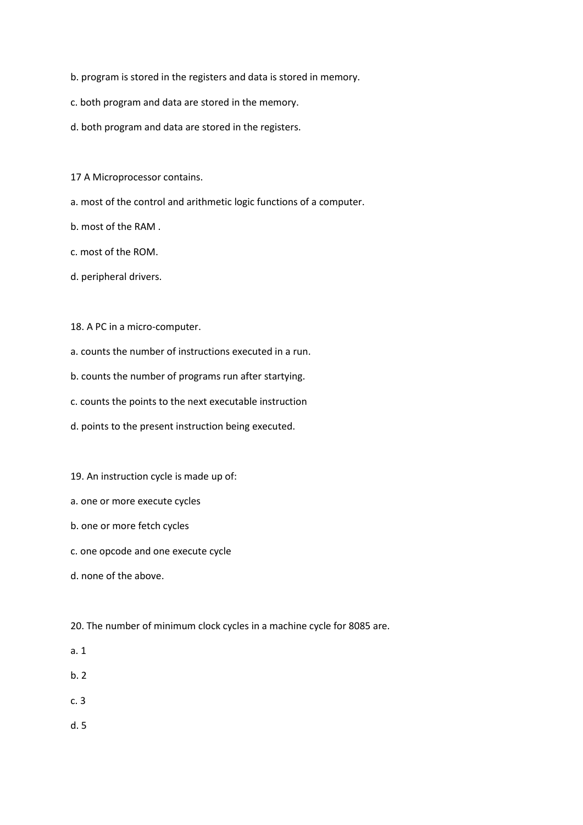- b. program is stored in the registers and data is stored in memory.
- c. both program and data are stored in the memory.
- d. both program and data are stored in the registers.
- 17 A Microprocessor contains.
- a. most of the control and arithmetic logic functions of a computer.
- b. most of the RAM .
- c. most of the ROM.
- d. peripheral drivers.
- 18. A PC in a micro-computer.
- a. counts the number of instructions executed in a run.
- b. counts the number of programs run after startying.
- c. counts the points to the next executable instruction
- d. points to the present instruction being executed.
- 19. An instruction cycle is made up of:
- a. one or more execute cycles
- b. one or more fetch cycles
- c. one opcode and one execute cycle
- d. none of the above.
- 20. The number of minimum clock cycles in a machine cycle for 8085 are.
- a. 1
- b. 2
- c. 3
- d. 5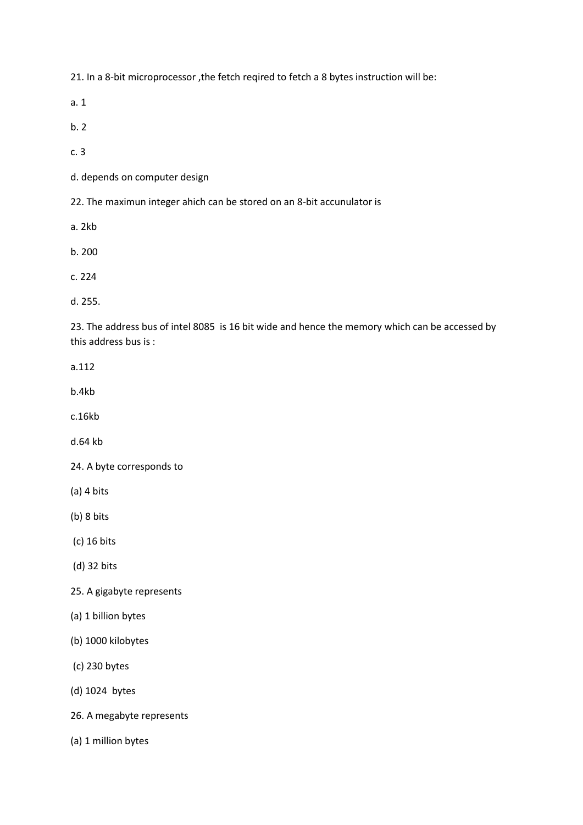21. In a 8-bit microprocessor ,the fetch reqired to fetch a 8 bytes instruction will be:

a. 1

b. 2

c. 3

d. depends on computer design

22. The maximun integer ahich can be stored on an 8-bit accunulator is

a. 2kb

b. 200

c. 224

d. 255.

23. The address bus of intel 8085 is 16 bit wide and hence the memory which can be accessed by this address bus is :

a.112

b.4kb

c.16kb

d.64 kb

24. A byte corresponds to

(a) 4 bits

(b) 8 bits

(c) 16 bits

(d) 32 bits

25. A gigabyte represents

(a) 1 billion bytes

(b) 1000 kilobytes

(c) 230 bytes

(d) 1024 bytes

26. A megabyte represents

(a) 1 million bytes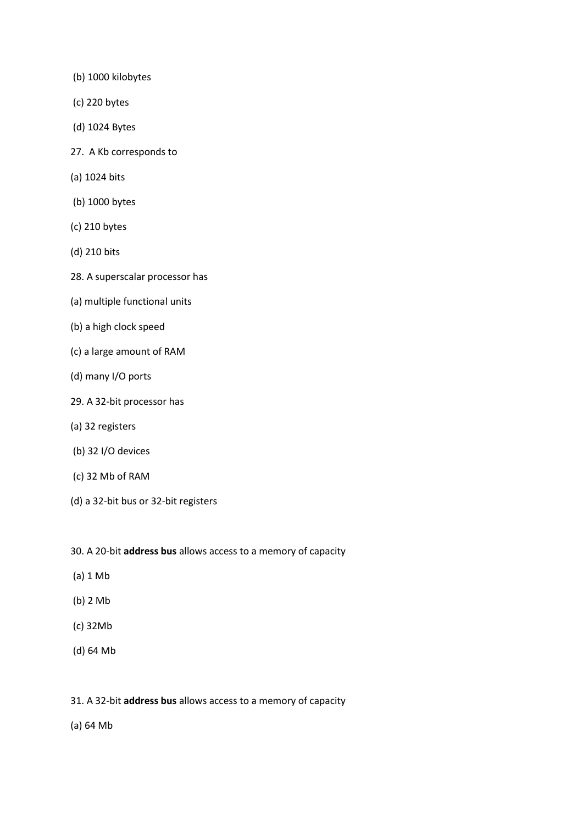- (b) 1000 kilobytes
- (c) 220 bytes
- (d) 1024 Bytes
- 27. A Kb corresponds to
- (a) 1024 bits
- (b) 1000 bytes
- (c) 210 bytes
- (d) 210 bits
- 28. A superscalar processor has
- (a) multiple functional units
- (b) a high clock speed
- (c) a large amount of RAM
- (d) many I/O ports
- 29. A 32-bit processor has
- (a) 32 registers
- (b) 32 I/O devices
- (c) 32 Mb of RAM
- (d) a 32-bit bus or 32-bit registers
- 30. A 20-bit **address bus** allows access to a memory of capacity
- (a) 1 Mb
- (b) 2 Mb
- (c) 32Mb
- (d) 64 Mb
- 31. A 32-bit **address bus** allows access to a memory of capacity
- (a) 64 Mb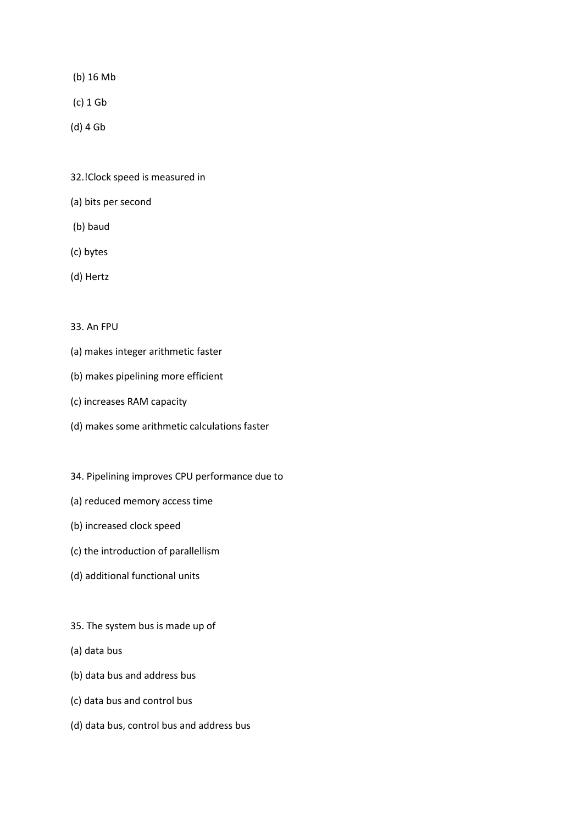- (b) 16 Mb
- (c) 1 Gb
- (d) 4 Gb
- 32.!Clock speed is measured in
- (a) bits per second
- (b) baud
- (c) bytes
- (d) Hertz

#### 33. An FPU

- (a) makes integer arithmetic faster
- (b) makes pipelining more efficient
- (c) increases RAM capacity
- (d) makes some arithmetic calculations faster
- 34. Pipelining improves CPU performance due to
- (a) reduced memory access time
- (b) increased clock speed
- (c) the introduction of parallellism
- (d) additional functional units
- 35. The system bus is made up of
- (a) data bus
- (b) data bus and address bus
- (c) data bus and control bus
- (d) data bus, control bus and address bus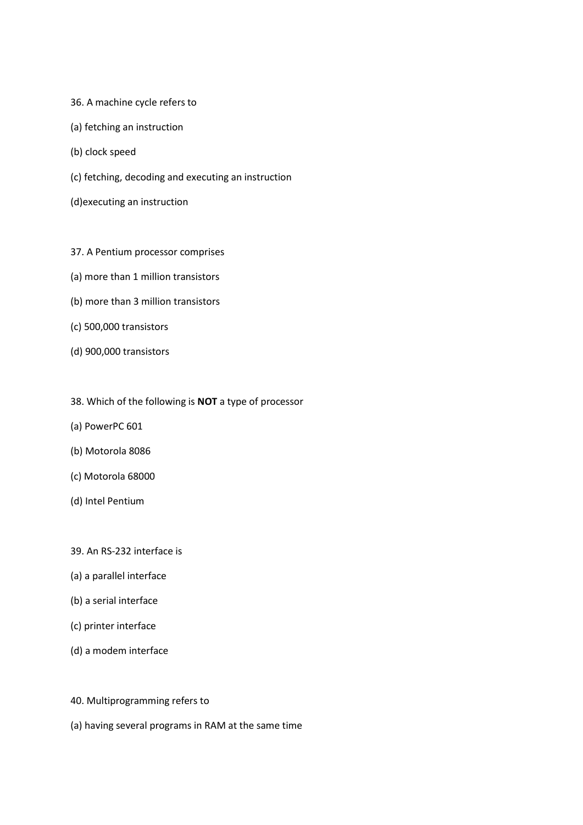- 36. A machine cycle refers to
- (a) fetching an instruction
- (b) clock speed
- (c) fetching, decoding and executing an instruction
- (d)executing an instruction
- 37. A Pentium processor comprises
- (a) more than 1 million transistors
- (b) more than 3 million transistors
- (c) 500,000 transistors
- (d) 900,000 transistors
- 38. Which of the following is **NOT** a type of processor
- (a) PowerPC 601
- (b) Motorola 8086
- (c) Motorola 68000
- (d) Intel Pentium
- 39. An RS-232 interface is
- (a) a parallel interface
- (b) a serial interface
- (c) printer interface
- (d) a modem interface
- 40. Multiprogramming refers to
- (a) having several programs in RAM at the same time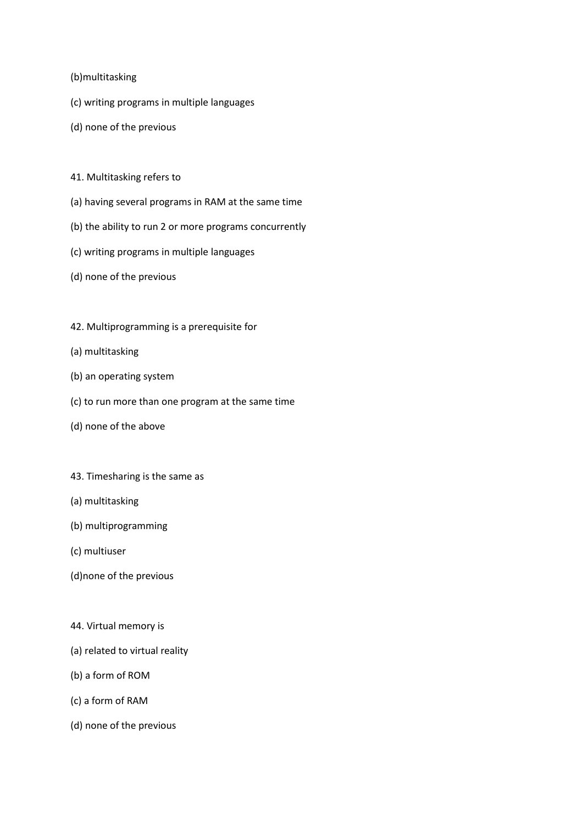#### (b)multitasking

- (c) writing programs in multiple languages
- (d) none of the previous
- 41. Multitasking refers to
- (a) having several programs in RAM at the same time
- (b) the ability to run 2 or more programs concurrently
- (c) writing programs in multiple languages
- (d) none of the previous
- 42. Multiprogramming is a prerequisite for
- (a) multitasking
- (b) an operating system
- (c) to run more than one program at the same time
- (d) none of the above
- 43. Timesharing is the same as
- (a) multitasking
- (b) multiprogramming
- (c) multiuser
- (d)none of the previous
- 44. Virtual memory is
- (a) related to virtual reality
- (b) a form of ROM
- (c) a form of RAM
- (d) none of the previous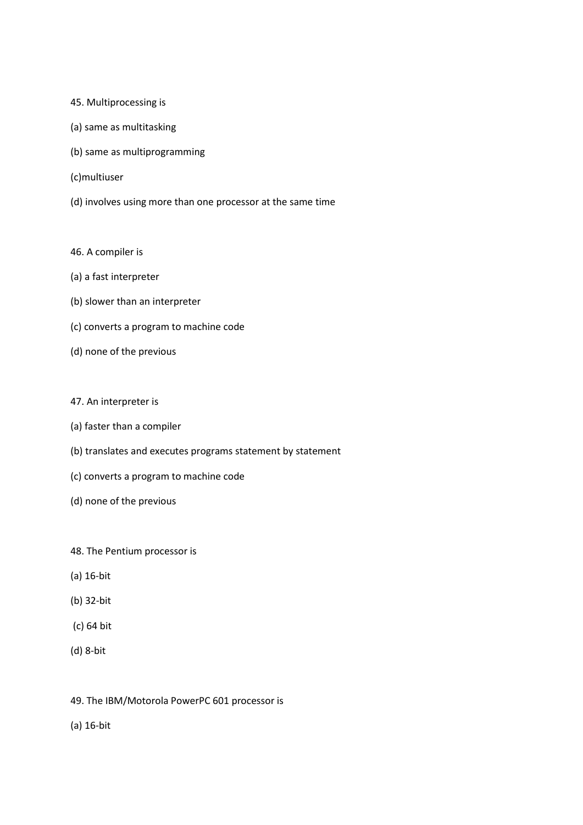- 45. Multiprocessing is
- (a) same as multitasking
- (b) same as multiprogramming
- (c)multiuser
- (d) involves using more than one processor at the same time
- 46. A compiler is
- (a) a fast interpreter
- (b) slower than an interpreter
- (c) converts a program to machine code
- (d) none of the previous
- 47. An interpreter is
- (a) faster than a compiler
- (b) translates and executes programs statement by statement
- (c) converts a program to machine code
- (d) none of the previous
- 48. The Pentium processor is
- (a) 16-bit
- (b) 32-bit
- (c) 64 bit
- (d) 8-bit
- 49. The IBM/Motorola PowerPC 601 processor is
- (a) 16-bit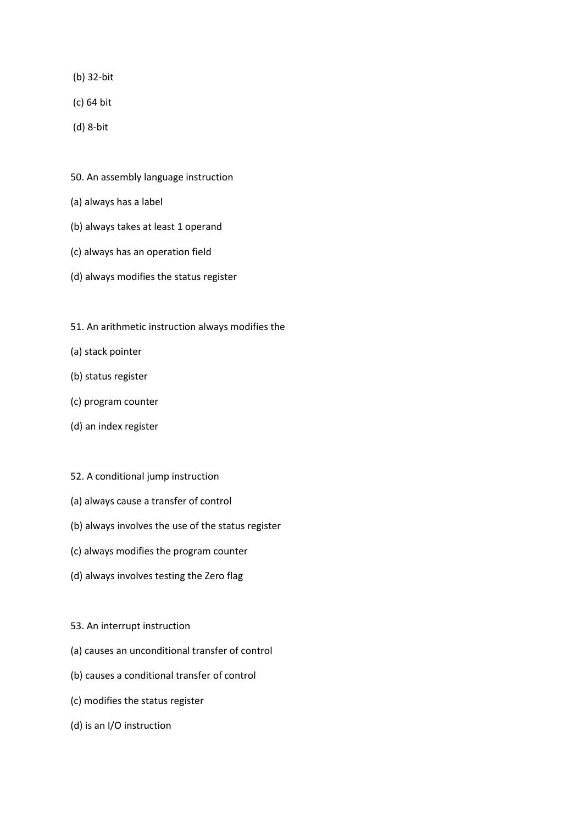- (b) 32-bit
- (c) 64 bit
- (d) 8-bit
- 50. An assembly language instruction
- (a) always has a label
- (b) always takes at least 1 operand
- (c) always has an operation field
- (d) always modifies the status register
- 51. An arithmetic instruction always modifies the
- (a) stack pointer
- (b) status register
- (c) program counter
- (d) an index register
- 52. A conditional jump instruction
- (a) always cause a transfer of control
- (b) always involves the use of the status register
- (c) always modifies the program counter
- (d) always involves testing the Zero flag
- 53. An interrupt instruction
- (a) causes an unconditional transfer of control
- (b) causes a conditional transfer of control
- (c) modifies the status register
- (d) is an I/O instruction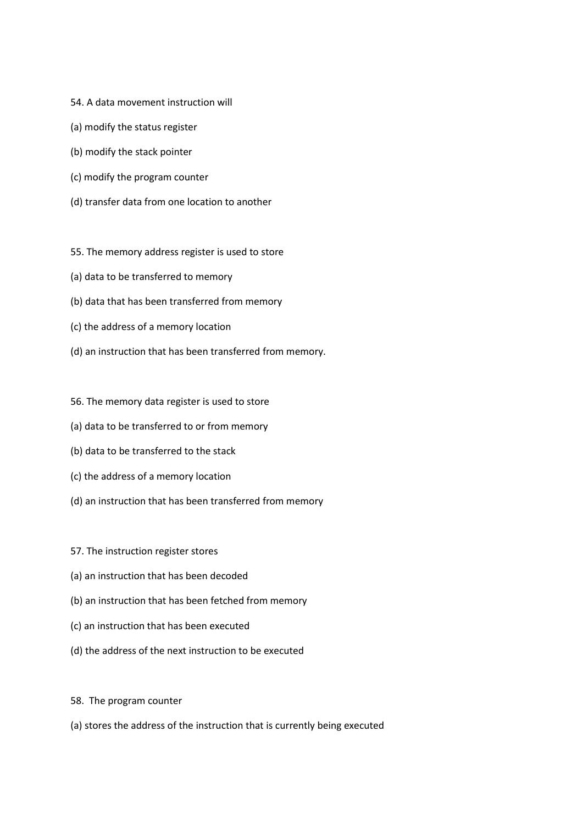- 54. A data movement instruction will
- (a) modify the status register
- (b) modify the stack pointer
- (c) modify the program counter
- (d) transfer data from one location to another
- 55. The memory address register is used to store
- (a) data to be transferred to memory
- (b) data that has been transferred from memory
- (c) the address of a memory location
- (d) an instruction that has been transferred from memory.
- 56. The memory data register is used to store
- (a) data to be transferred to or from memory
- (b) data to be transferred to the stack
- (c) the address of a memory location
- (d) an instruction that has been transferred from memory
- 57. The instruction register stores
- (a) an instruction that has been decoded
- (b) an instruction that has been fetched from memory
- (c) an instruction that has been executed
- (d) the address of the next instruction to be executed
- 58. The program counter
- (a) stores the address of the instruction that is currently being executed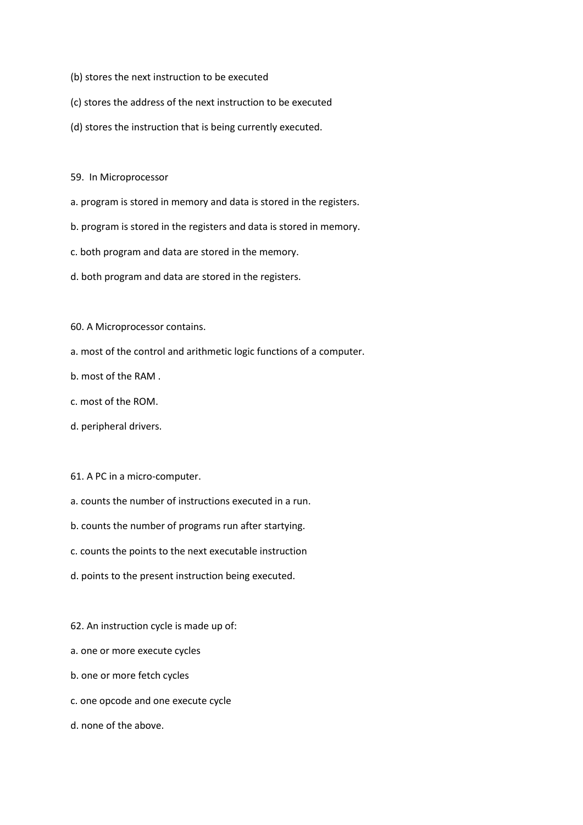- (b) stores the next instruction to be executed
- (c) stores the address of the next instruction to be executed
- (d) stores the instruction that is being currently executed.

59. In Microprocessor

- a. program is stored in memory and data is stored in the registers.
- b. program is stored in the registers and data is stored in memory.
- c. both program and data are stored in the memory.
- d. both program and data are stored in the registers.

60. A Microprocessor contains.

- a. most of the control and arithmetic logic functions of a computer.
- b. most of the RAM .
- c. most of the ROM.
- d. peripheral drivers.
- 61. A PC in a micro-computer.
- a. counts the number of instructions executed in a run.
- b. counts the number of programs run after startying.
- c. counts the points to the next executable instruction
- d. points to the present instruction being executed.
- 62. An instruction cycle is made up of:
- a. one or more execute cycles
- b. one or more fetch cycles
- c. one opcode and one execute cycle
- d. none of the above.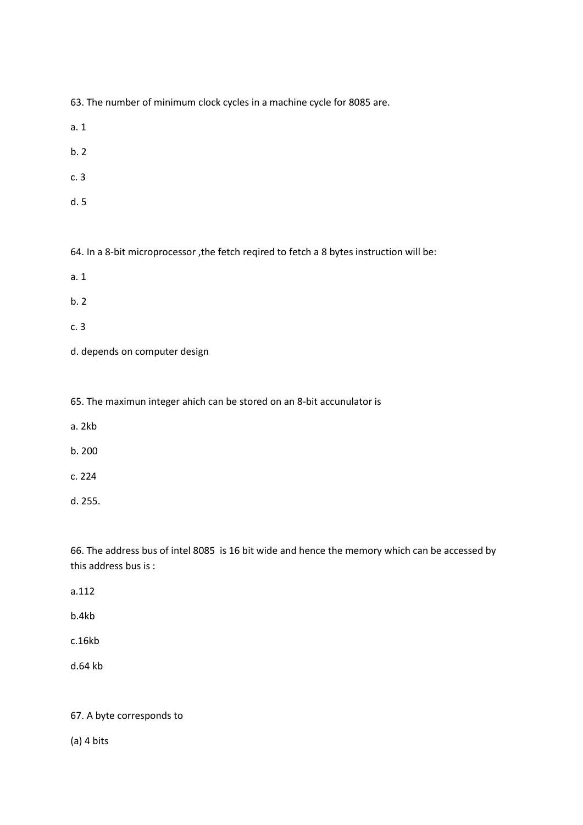63. The number of minimum clock cycles in a machine cycle for 8085 are.

- a. 1
- b. 2
- c. 3
- d. 5

64. In a 8-bit microprocessor ,the fetch reqired to fetch a 8 bytes instruction will be:

- a. 1
- b. 2
- c. 3
- d. depends on computer design

65. The maximun integer ahich can be stored on an 8-bit accunulator is

- a. 2kb
- b. 200
- c. 224
- d. 255.

66. The address bus of intel 8085 is 16 bit wide and hence the memory which can be accessed by this address bus is :

- a.112
- b.4kb
- c.16kb
- d.64 kb

#### 67. A byte corresponds to

(a) 4 bits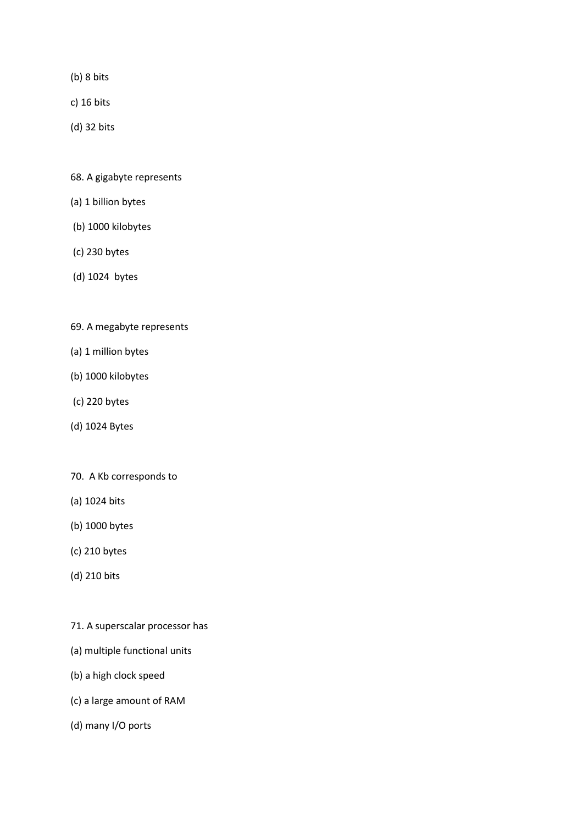- (b) 8 bits
- c) 16 bits
- (d) 32 bits
- 68. A gigabyte represents
- (a) 1 billion bytes
- (b) 1000 kilobytes
- (c) 230 bytes
- (d) 1024 bytes
- 69. A megabyte represents
- (a) 1 million bytes
- (b) 1000 kilobytes
- (c) 220 bytes
- (d) 1024 Bytes
- 70. A Kb corresponds to
- (a) 1024 bits
- (b) 1000 bytes
- (c) 210 bytes
- (d) 210 bits
- 71. A superscalar processor has
- (a) multiple functional units
- (b) a high clock speed
- (c) a large amount of RAM
- (d) many I/O ports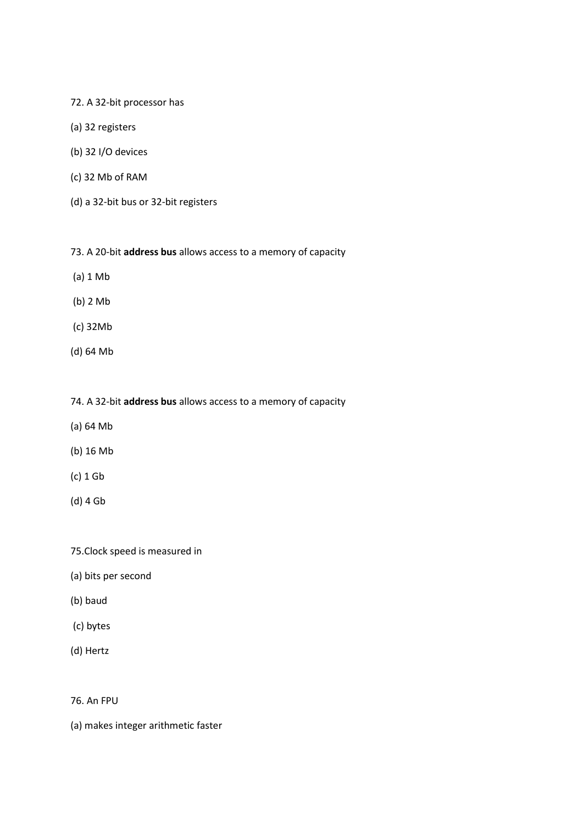#### 72. A 32-bit processor has

- (a) 32 registers
- (b) 32 I/O devices
- (c) 32 Mb of RAM
- (d) a 32-bit bus or 32-bit registers

#### 73. A 20-bit **address bus** allows access to a memory of capacity

- (a) 1 Mb
- (b) 2 Mb
- (c) 32Mb
- (d) 64 Mb

#### 74. A 32-bit **address bus** allows access to a memory of capacity

- (a) 64 Mb
- (b) 16 Mb
- (c) 1 Gb
- (d) 4 Gb

#### 75.Clock speed is measured in

- (a) bits per second
- (b) baud
- (c) bytes
- (d) Hertz

#### 76. An FPU

(a) makes integer arithmetic faster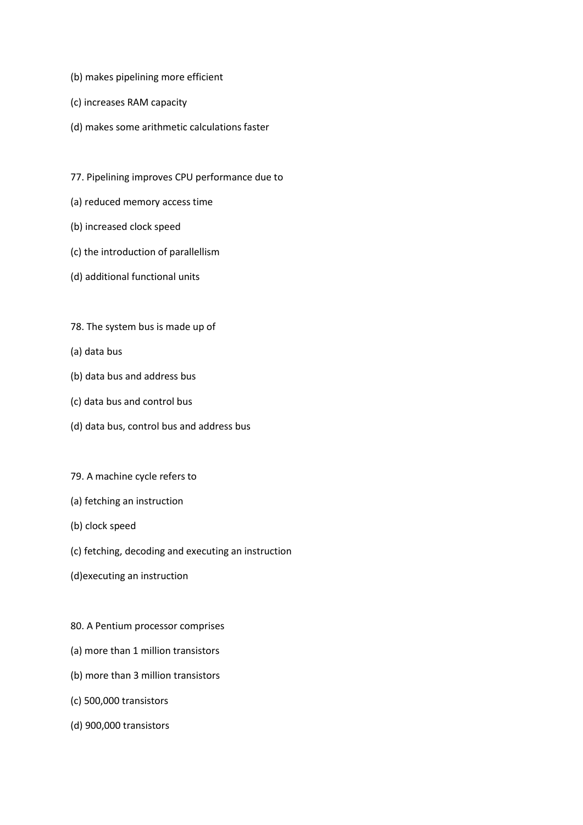- (b) makes pipelining more efficient
- (c) increases RAM capacity
- (d) makes some arithmetic calculations faster
- 77. Pipelining improves CPU performance due to
- (a) reduced memory access time
- (b) increased clock speed
- (c) the introduction of parallellism
- (d) additional functional units
- 78. The system bus is made up of
- (a) data bus
- (b) data bus and address bus
- (c) data bus and control bus
- (d) data bus, control bus and address bus
- 79. A machine cycle refers to
- (a) fetching an instruction
- (b) clock speed
- (c) fetching, decoding and executing an instruction
- (d)executing an instruction
- 80. A Pentium processor comprises
- (a) more than 1 million transistors
- (b) more than 3 million transistors
- (c) 500,000 transistors
- (d) 900,000 transistors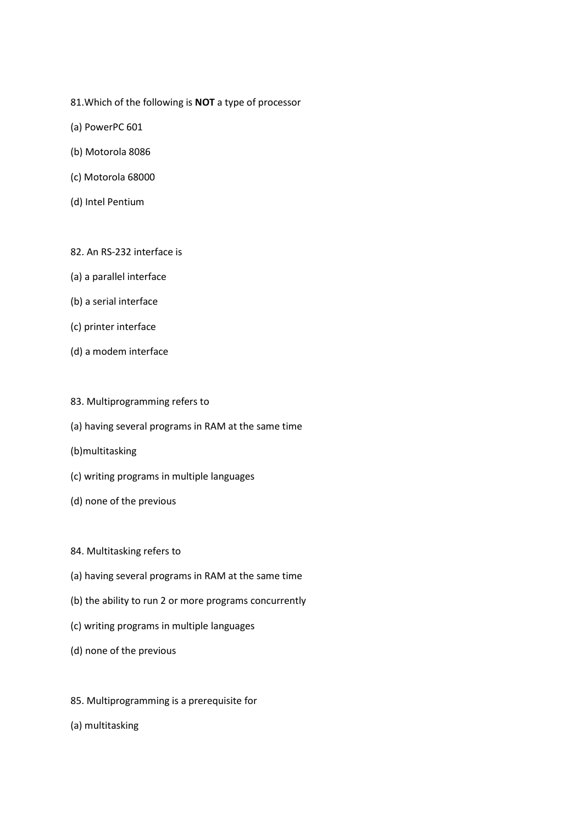- 81.Which of the following is **NOT** a type of processor
- (a) PowerPC 601
- (b) Motorola 8086
- (c) Motorola 68000
- (d) Intel Pentium

#### 82. An RS-232 interface is

- (a) a parallel interface
- (b) a serial interface
- (c) printer interface
- (d) a modem interface
- 83. Multiprogramming refers to
- (a) having several programs in RAM at the same time
- (b)multitasking
- (c) writing programs in multiple languages
- (d) none of the previous
- 84. Multitasking refers to
- (a) having several programs in RAM at the same time
- (b) the ability to run 2 or more programs concurrently
- (c) writing programs in multiple languages
- (d) none of the previous
- 85. Multiprogramming is a prerequisite for
- (a) multitasking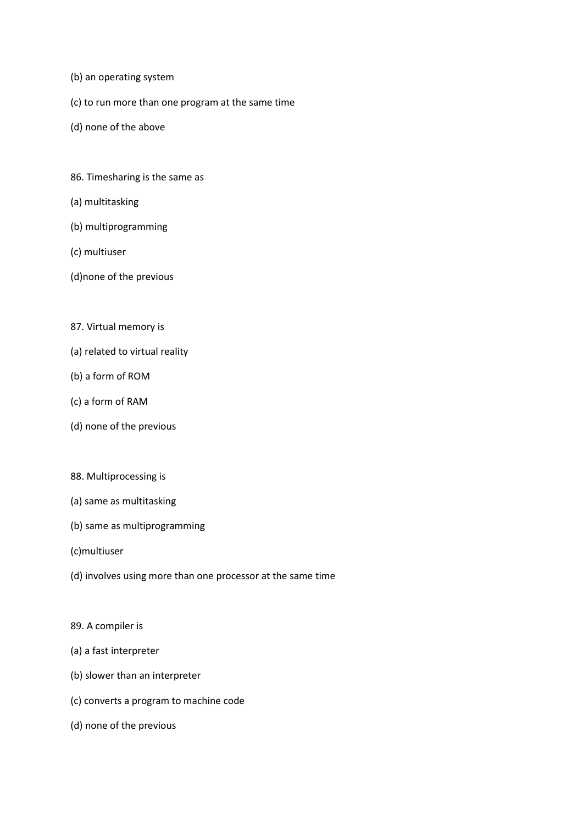- (b) an operating system
- (c) to run more than one program at the same time
- (d) none of the above
- 86. Timesharing is the same as
- (a) multitasking
- (b) multiprogramming
- (c) multiuser
- (d)none of the previous
- 87. Virtual memory is
- (a) related to virtual reality
- (b) a form of ROM
- (c) a form of RAM
- (d) none of the previous
- 88. Multiprocessing is
- (a) same as multitasking
- (b) same as multiprogramming
- (c)multiuser
- (d) involves using more than one processor at the same time
- 89. A compiler is
- (a) a fast interpreter
- (b) slower than an interpreter
- (c) converts a program to machine code
- (d) none of the previous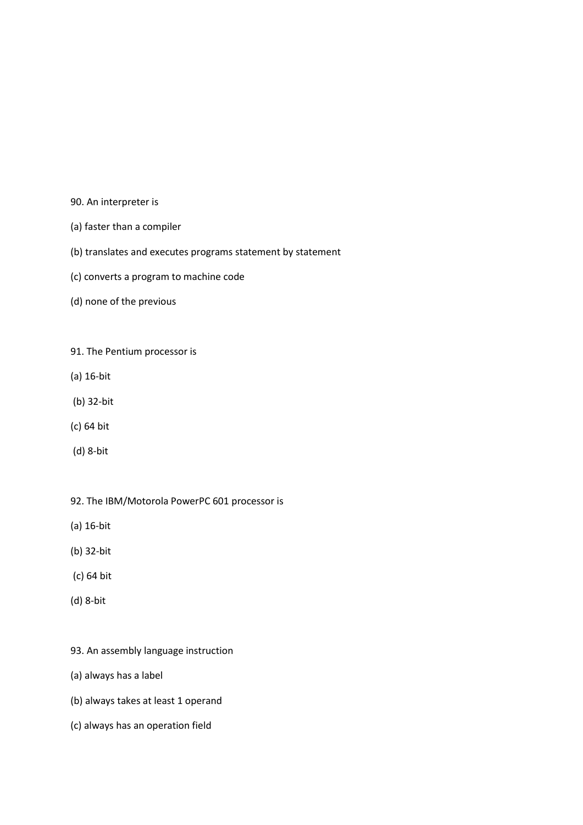- 90. An interpreter is
- (a) faster than a compiler
- (b) translates and executes programs statement by statement
- (c) converts a program to machine code
- (d) none of the previous
- 91. The Pentium processor is
- (a) 16-bit
- (b) 32-bit
- (c) 64 bit
- (d) 8-bit
- 92. The IBM/Motorola PowerPC 601 processor is
- (a) 16-bit
- (b) 32-bit
- (c) 64 bit
- (d) 8-bit
- 93. An assembly language instruction
- (a) always has a label
- (b) always takes at least 1 operand
- (c) always has an operation field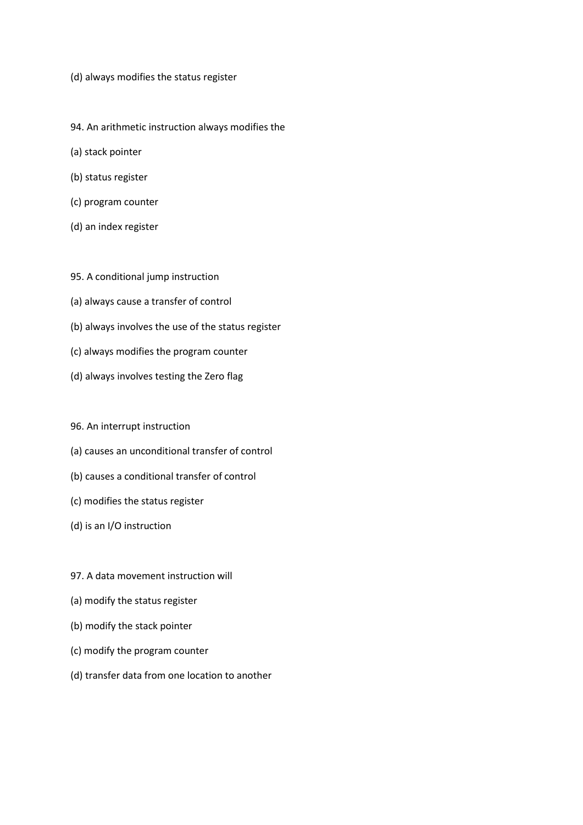- (d) always modifies the status register
- 94. An arithmetic instruction always modifies the
- (a) stack pointer
- (b) status register
- (c) program counter
- (d) an index register
- 95. A conditional jump instruction
- (a) always cause a transfer of control
- (b) always involves the use of the status register
- (c) always modifies the program counter
- (d) always involves testing the Zero flag
- 96. An interrupt instruction
- (a) causes an unconditional transfer of control
- (b) causes a conditional transfer of control
- (c) modifies the status register
- (d) is an I/O instruction
- 97. A data movement instruction will
- (a) modify the status register
- (b) modify the stack pointer
- (c) modify the program counter
- (d) transfer data from one location to another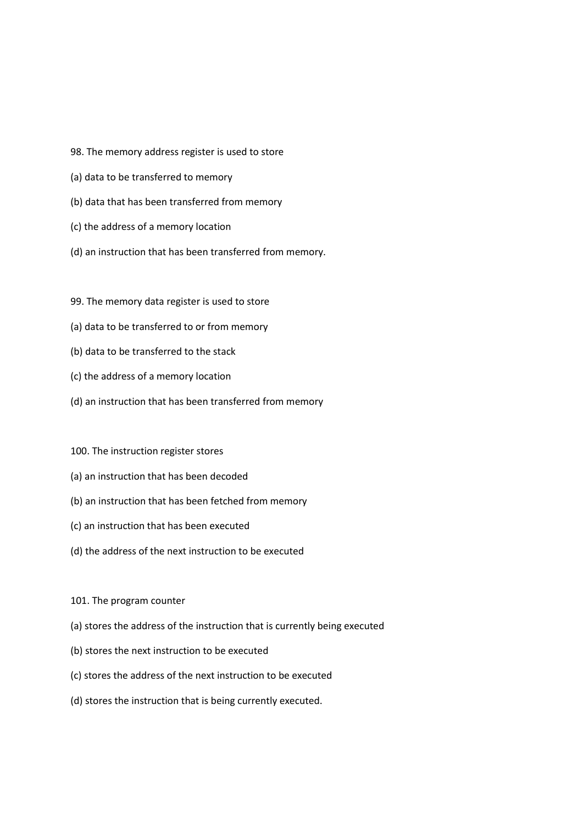- 98. The memory address register is used to store
- (a) data to be transferred to memory
- (b) data that has been transferred from memory
- (c) the address of a memory location
- (d) an instruction that has been transferred from memory.
- 99. The memory data register is used to store
- (a) data to be transferred to or from memory
- (b) data to be transferred to the stack
- (c) the address of a memory location
- (d) an instruction that has been transferred from memory
- 100. The instruction register stores
- (a) an instruction that has been decoded
- (b) an instruction that has been fetched from memory
- (c) an instruction that has been executed
- (d) the address of the next instruction to be executed
- 101. The program counter
- (a) stores the address of the instruction that is currently being executed
- (b) stores the next instruction to be executed
- (c) stores the address of the next instruction to be executed
- (d) stores the instruction that is being currently executed.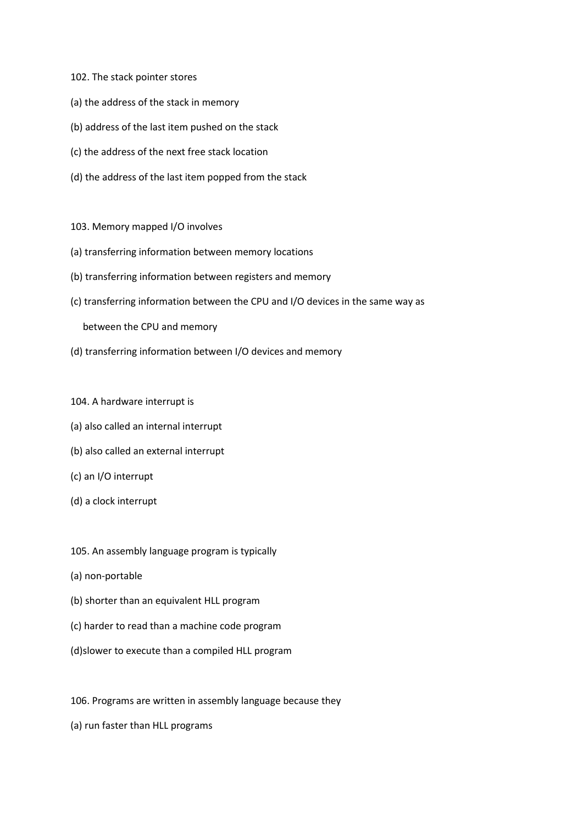- 102. The stack pointer stores
- (a) the address of the stack in memory
- (b) address of the last item pushed on the stack
- (c) the address of the next free stack location
- (d) the address of the last item popped from the stack
- 103. Memory mapped I/O involves
- (a) transferring information between memory locations
- (b) transferring information between registers and memory
- (c) transferring information between the CPU and I/O devices in the same way as

between the CPU and memory

- (d) transferring information between I/O devices and memory
- 104. A hardware interrupt is
- (a) also called an internal interrupt
- (b) also called an external interrupt
- (c) an I/O interrupt
- (d) a clock interrupt
- 105. An assembly language program is typically
- (a) non-portable
- (b) shorter than an equivalent HLL program
- (c) harder to read than a machine code program
- (d)slower to execute than a compiled HLL program
- 106. Programs are written in assembly language because they
- (a) run faster than HLL programs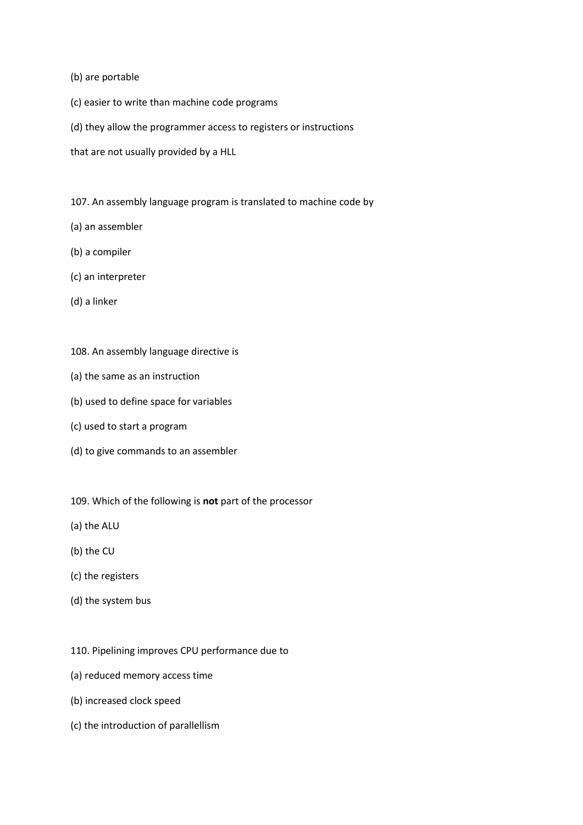- (b) are portable
- (c) easier to write than machine code programs
- (d) they allow the programmer access to registers or instructions
- that are not usually provided by a HLL
- 107. An assembly language program is translated to machine code by
- (a) an assembler
- (b) a compiler
- (c) an interpreter
- (d) a linker
- 108. An assembly language directive is
- (a) the same as an instruction
- (b) used to define space for variables
- (c) used to start a program
- (d) to give commands to an assembler
- 109. Which of the following is **not** part of the processor
- (a) the ALU
- (b) the CU
- (c) the registers
- (d) the system bus
- 110. Pipelining improves CPU performance due to
- (a) reduced memory access time
- (b) increased clock speed
- (c) the introduction of parallellism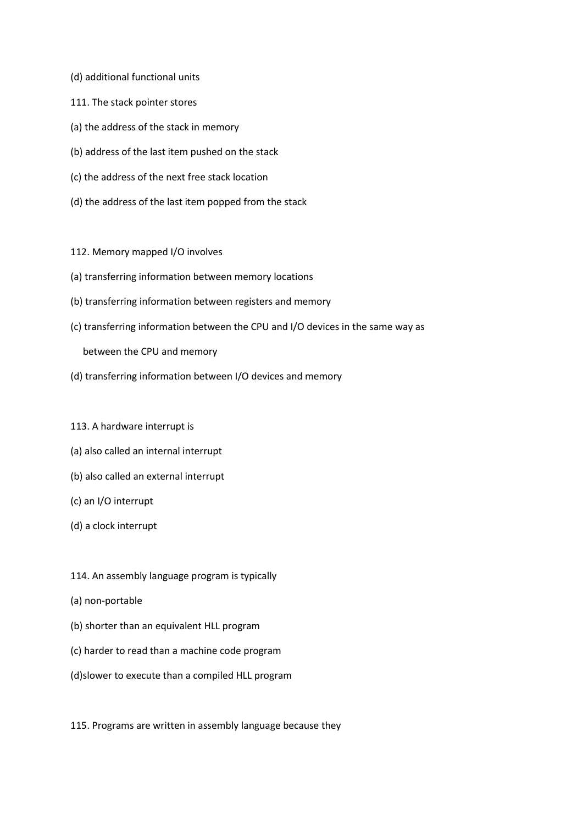- (d) additional functional units
- 111. The stack pointer stores
- (a) the address of the stack in memory
- (b) address of the last item pushed on the stack
- (c) the address of the next free stack location
- (d) the address of the last item popped from the stack
- 112. Memory mapped I/O involves
- (a) transferring information between memory locations
- (b) transferring information between registers and memory
- (c) transferring information between the CPU and I/O devices in the same way as

between the CPU and memory

(d) transferring information between I/O devices and memory

#### 113. A hardware interrupt is

- (a) also called an internal interrupt
- (b) also called an external interrupt
- (c) an I/O interrupt
- (d) a clock interrupt
- 114. An assembly language program is typically
- (a) non-portable
- (b) shorter than an equivalent HLL program
- (c) harder to read than a machine code program
- (d)slower to execute than a compiled HLL program
- 115. Programs are written in assembly language because they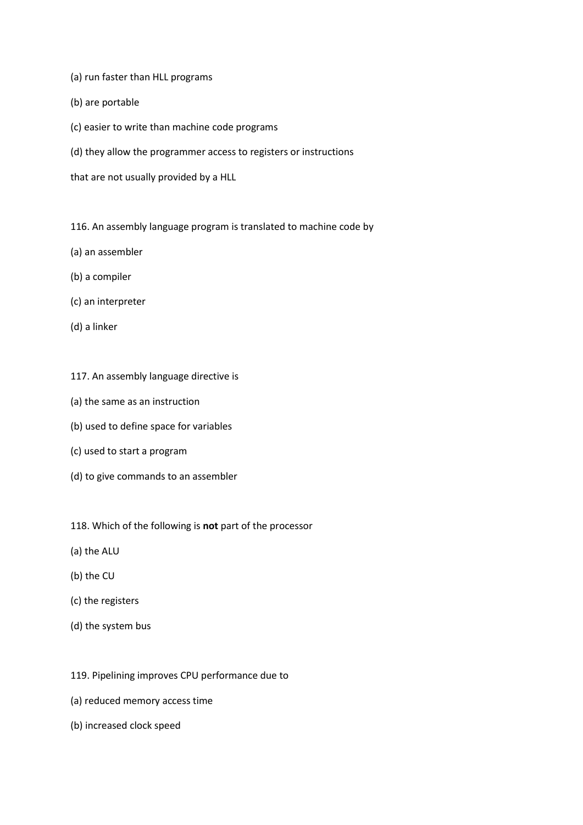- (a) run faster than HLL programs
- (b) are portable
- (c) easier to write than machine code programs
- (d) they allow the programmer access to registers or instructions
- that are not usually provided by a HLL
- 116. An assembly language program is translated to machine code by
- (a) an assembler
- (b) a compiler
- (c) an interpreter
- (d) a linker
- 117. An assembly language directive is
- (a) the same as an instruction
- (b) used to define space for variables
- (c) used to start a program
- (d) to give commands to an assembler
- 118. Which of the following is **not** part of the processor
- (a) the ALU
- (b) the CU
- (c) the registers
- (d) the system bus
- 119. Pipelining improves CPU performance due to
- (a) reduced memory access time
- (b) increased clock speed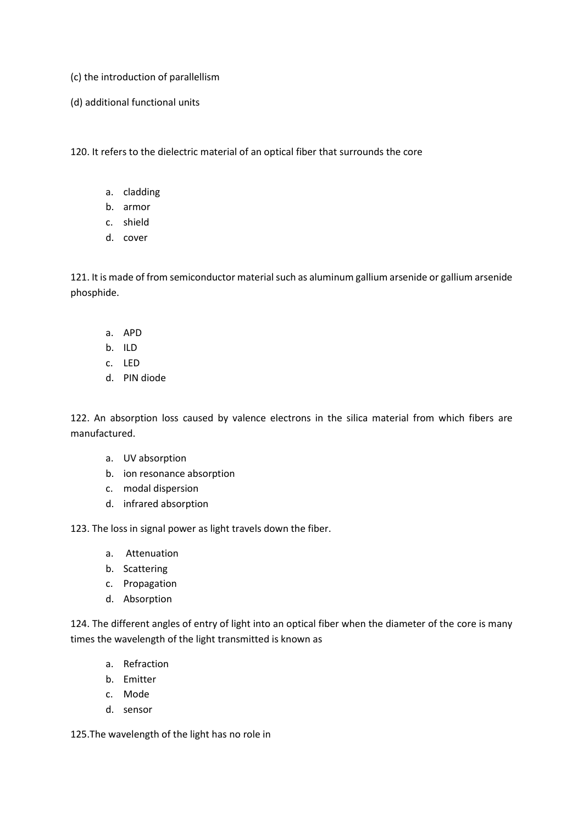- (c) the introduction of parallellism
- (d) additional functional units

120. It refers to the dielectric material of an optical fiber that surrounds the core

- a. cladding
- b. armor
- c. shield
- d. cover

121. It is made of from semiconductor material such as aluminum gallium arsenide or gallium arsenide phosphide.

- a. APD
- b. ILD
- c. LED
- d. PIN diode

122. An absorption loss caused by valence electrons in the silica material from which fibers are manufactured.

- a. UV absorption
- b. ion resonance absorption
- c. modal dispersion
- d. infrared absorption

123. The loss in signal power as light travels down the fiber.

- a. Attenuation
- b. Scattering
- c. Propagation
- d. Absorption

124. The different angles of entry of light into an optical fiber when the diameter of the core is many times the wavelength of the light transmitted is known as

- a. Refraction
- b. Emitter
- c. Mode
- d. sensor

125.The wavelength of the light has no role in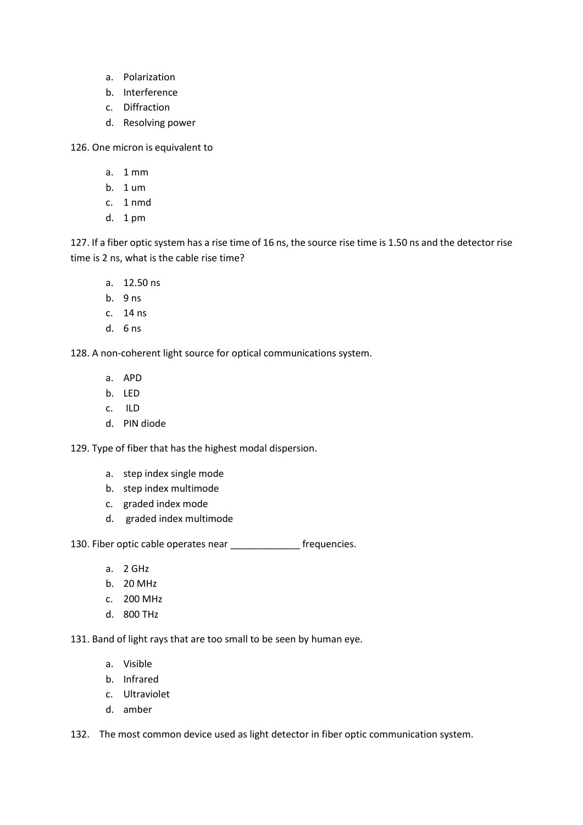- a. Polarization
- b. Interference
- c. Diffraction
- d. Resolving power

126. One micron is equivalent to

- a. 1 mm
- b. 1 um
- c. 1 nmd
- d. 1 pm

127. If a fiber optic system has a rise time of 16 ns, the source rise time is 1.50 ns and the detector rise time is 2 ns, what is the cable rise time?

- a. 12.50 ns
- b. 9 ns
- c. 14 ns
- d. 6 ns

128. A non-coherent light source for optical communications system.

- a. APD
- b. LED
- c. ILD
- d. PIN diode

129. Type of fiber that has the highest modal dispersion.

- a. step index single mode
- b. step index multimode
- c. graded index mode
- d. graded index multimode

130. Fiber optic cable operates near \_\_\_\_\_\_\_\_\_\_\_\_\_ frequencies.

- a. 2 GHz
- b. 20 MHz
- c. 200 MHz
- d. 800 THz

131. Band of light rays that are too small to be seen by human eye.

- a. Visible
- b. Infrared
- c. Ultraviolet
- d. amber

132. The most common device used as light detector in fiber optic communication system.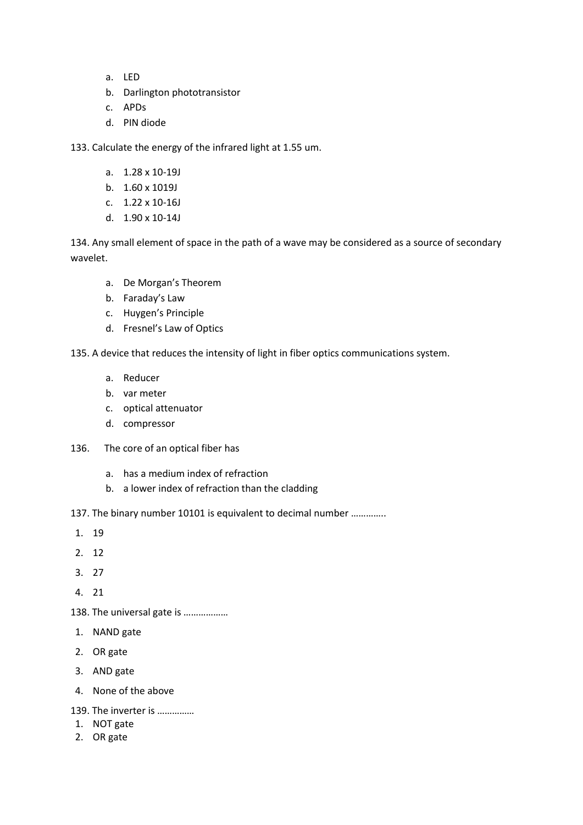- a. LED
- b. Darlington phototransistor
- c. APDs
- d. PIN diode

133. Calculate the energy of the infrared light at 1.55 um.

- a. 1.28 x 10-19J
- b. 1.60 x 1019J
- c. 1.22 x 10-16J
- d. 1.90 x 10-14J

134. Any small element of space in the path of a wave may be considered as a source of secondary wavelet.

- a. De Morgan's Theorem
- b. Faraday's Law
- c. Huygen's Principle
- d. Fresnel's Law of Optics

135. A device that reduces the intensity of light in fiber optics communications system.

- a. Reducer
- b. var meter
- c. optical attenuator
- d. compressor
- 136. The core of an optical fiber has
	- a. has a medium index of refraction
	- b. a lower index of refraction than the cladding
- 137. The binary number 10101 is equivalent to decimal number …………..
- 1. 19
- 2. 12
- 3. 27
- 4. 21
- 138. The universal gate is ………………
- 1. NAND gate
- 2. OR gate
- 3. AND gate
- 4. None of the above
- 139. The inverter is ……………
- 1. NOT gate
- 2. OR gate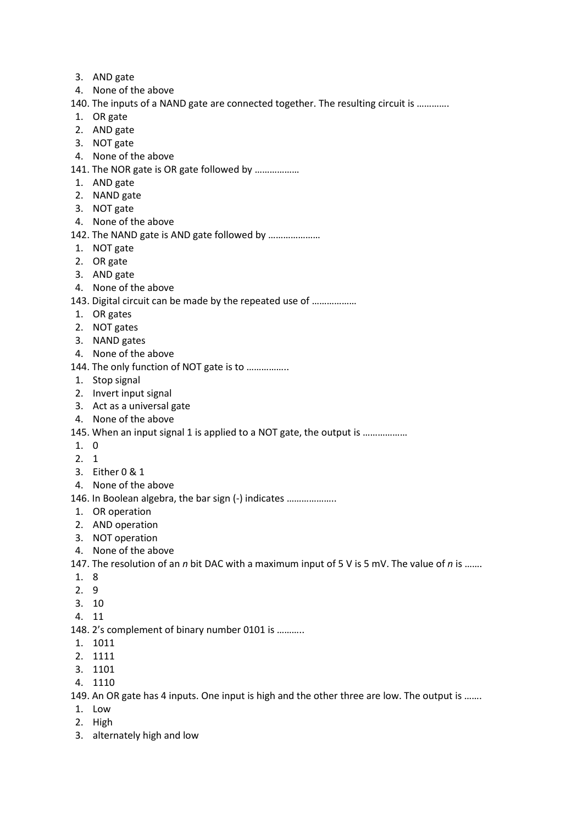- 3. AND gate
- 4. None of the above
- 140. The inputs of a NAND gate are connected together. The resulting circuit is ………….
- 1. OR gate
- 2. AND gate
- 3. NOT gate
- 4. None of the above
- 141. The NOR gate is OR gate followed by ………………
- 1. AND gate
- 2. NAND gate
- 3. NOT gate
- 4. None of the above
- 142. The NAND gate is AND gate followed by …………………
- 1. NOT gate
- 2. OR gate
- 3. AND gate
- 4. None of the above
- 143. Digital circuit can be made by the repeated use of ………………
- 1. OR gates
- 2. NOT gates
- 3. NAND gates
- 4. None of the above
- 144. The only function of NOT gate is to ……………..
- 1. Stop signal
- 2. Invert input signal
- 3. Act as a universal gate
- 4. None of the above
- 145. When an input signal 1 is applied to a NOT gate, the output is ..................
- 1. 0
- 2. 1
- 3. Either 0 & 1
- 4. None of the above
- 146. In Boolean algebra, the bar sign (-) indicates ………………..
- 1. OR operation
- 2. AND operation
- 3. NOT operation
- 4. None of the above
- 147. The resolution of an *n* bit DAC with a maximum input of 5 V is 5 mV. The value of *n* is …….
- 1. 8
- 2. 9
- 3. 10
- 4. 11
- 148. 2's complement of binary number 0101 is ………..
- 1. 1011
- 2. 1111
- 3. 1101
- 4. 1110
- 149. An OR gate has 4 inputs. One input is high and the other three are low. The output is …….
- 1. Low
- 2. High
- 3. alternately high and low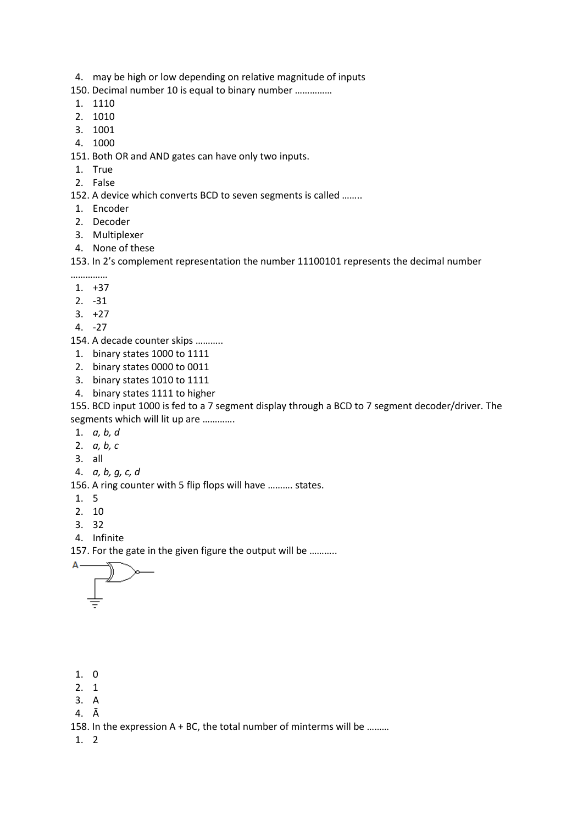- 4. may be high or low depending on relative magnitude of inputs
- 150. Decimal number 10 is equal to binary number ……………
- 1. 1110
- 2. 1010
- 3. 1001
- 4. 1000

151. Both OR and AND gates can have only two inputs.

- 1. True
- 2. False

152. A device which converts BCD to seven segments is called ……..

- 1. Encoder
- 2. Decoder
- 3. Multiplexer
- 4. None of these

153. In 2's complement representation the number 11100101 represents the decimal number

- ……………
- 1. +37
- 2. -31
- $3. +27$
- 4. -27
- 154. A decade counter skips ………..
- 1. binary states 1000 to 1111
- 2. binary states 0000 to 0011
- 3. binary states 1010 to 1111
- 4. binary states 1111 to higher

155. BCD input 1000 is fed to a 7 segment display through a BCD to 7 segment decoder/driver. The segments which will lit up are ………….

- 1. *a, b, d*
- 2. *a, b, c*
- 3. all
- 4. *a, b, g, c, d*

156. A ring counter with 5 flip flops will have ………. states.

- 1. 5
- 2. 10
- 3. 32
- 4. Infinite

157. For the gate in the given figure the output will be ………..



- 1. 0
- 2. 1
- 3. A
- 4. Ā

158. In the expression A + BC, the total number of minterms will be ………

1. 2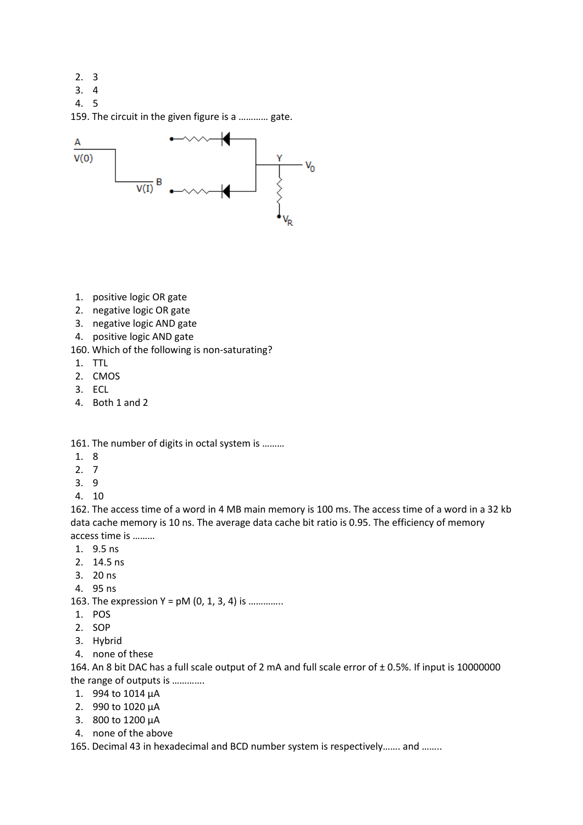- 2. 3
- 3. 4
- 4. 5

159. The circuit in the given figure is a ………… gate.



- 1. positive logic OR gate
- 2. negative logic OR gate
- 3. negative logic AND gate
- 4. positive logic AND gate
- 160. Which of the following is non-saturating?
- 1. TTL
- 2. CMOS
- 3. ECL
- 4. Both 1 and 2

161. The number of digits in octal system is ………

- 1. 8
- 2. 7
- 3. 9
- 4. 10

162. The access time of a word in 4 MB main memory is 100 ms. The access time of a word in a 32 kb data cache memory is 10 ns. The average data cache bit ratio is 0.95. The efficiency of memory access time is ………

- 1. 9.5 ns
- 2. 14.5 ns
- 3. 20 ns
- 4. 95 ns
- 163. The expression  $Y = pM(0, 1, 3, 4)$  is ..............
- 1. POS
- 2. SOP
- 3. Hybrid
- 4. none of these

164. An 8 bit DAC has a full scale output of 2 mA and full scale error of ± 0.5%. If input is 10000000 the range of outputs is ………….

- 1. 994 to 1014 μA
- 2. 990 to 1020 μA
- 3. 800 to 1200 μA
- 4. none of the above

165. Decimal 43 in hexadecimal and BCD number system is respectively……. and ……..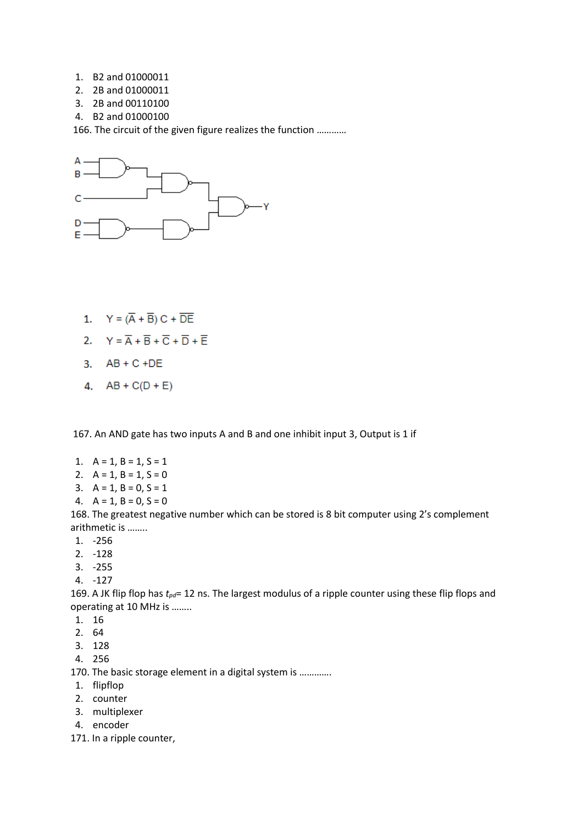- 1. B2 and 01000011
- 2. 2B and 01000011
- 3. 2B and 00110100
- 4. B2 and 01000100

166. The circuit of the given figure realizes the function …………



- 1.  $Y = (\overline{A} + \overline{B})C + \overline{DE}$
- 2.  $Y = \overline{A} + \overline{B} + \overline{C} + \overline{D} + \overline{E}$
- 3.  $AB + C + DE$
- 4.  $AB + C(D + E)$

167. An AND gate has two inputs A and B and one inhibit input 3, Output is 1 if

- 1.  $A = 1, B = 1, S = 1$
- 2.  $A = 1, B = 1, S = 0$
- 3.  $A = 1, B = 0, S = 1$
- 4.  $A = 1$ ,  $B = 0$ ,  $S = 0$

168. The greatest negative number which can be stored is 8 bit computer using 2's complement arithmetic is ……..

- 1. -256
- 2. -128
- 3. -255
- 4. -127

169. A JK flip flop has *tpd*= 12 ns. The largest modulus of a ripple counter using these flip flops and operating at 10 MHz is ……..

- 1. 16
- 2. 64
- 3. 128
- 4. 256

170. The basic storage element in a digital system is ………….

- 1. flipflop
- 2. counter
- 3. multiplexer
- 4. encoder
- 171. In a ripple counter,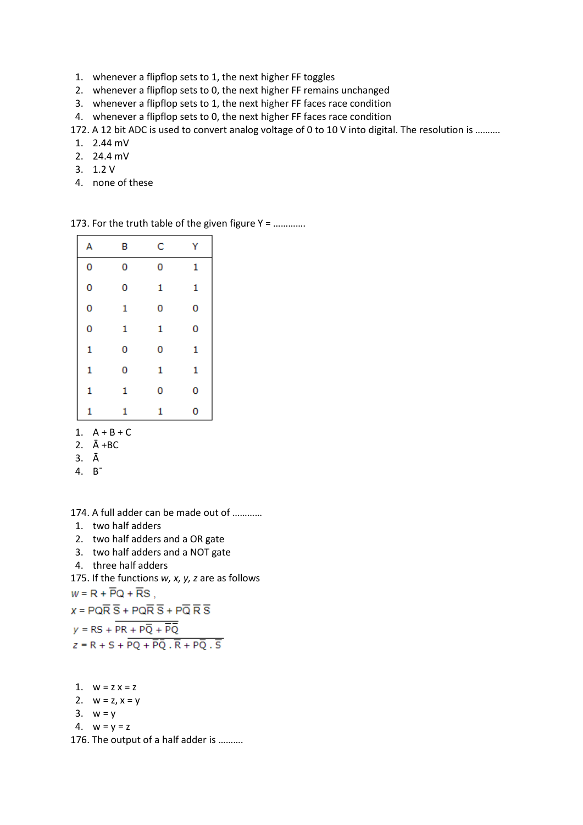- 1. whenever a flipflop sets to 1, the next higher FF toggles
- 2. whenever a flipflop sets to 0, the next higher FF remains unchanged
- 3. whenever a flipflop sets to 1, the next higher FF faces race condition
- 4. whenever a flipflop sets to 0, the next higher FF faces race condition

172. A 12 bit ADC is used to convert analog voltage of 0 to 10 V into digital. The resolution is ……….

- 1. 2.44 mV
- 2. 24.4 mV
- 3. 1.2 V
- 4. none of these

| А | в | C | Υ |
|---|---|---|---|
| 0 | 0 | 0 | 1 |
| 0 | 0 | 1 | 1 |
| 0 | 1 | 0 | 0 |
| 0 | 1 | 1 | 0 |
| 1 | 0 | 0 | 1 |
| 1 | 0 | 1 | 1 |
| 1 | 1 | 0 | 0 |
| 1 | 1 | 1 | 0 |
|   |   |   |   |

173. For the truth table of the given figure Y = ………….

- 1.  $A + B + C$
- 2. Ā +BC
- 3. Ā

4. B¯

174. A full adder can be made out of …………

- 1. two half adders
- 2. two half adders and a OR gate
- 3. two half adders and a NOT gate
- 4. three half adders

175. If the functions *w, x, y, z* are as follows  $W = R + \overline{P}Q + \overline{R}S$ ,

 $x = PQ\overline{R} \overline{S} + PQ\overline{R} \overline{S} + P\overline{Q} \overline{R} \overline{S}$  $y = RS + PR + P\overline{Q} + \overline{PQ}$  $z = R + S + \overline{PQ} + \overline{PQ} \cdot \overline{R} + P\overline{Q} \cdot \overline{S}$ 

1.  $w = z x = z$ 2.  $w = z, x = y$ 3.  $w = y$ 4.  $w = y = z$ 176. The output of a half adder is ……….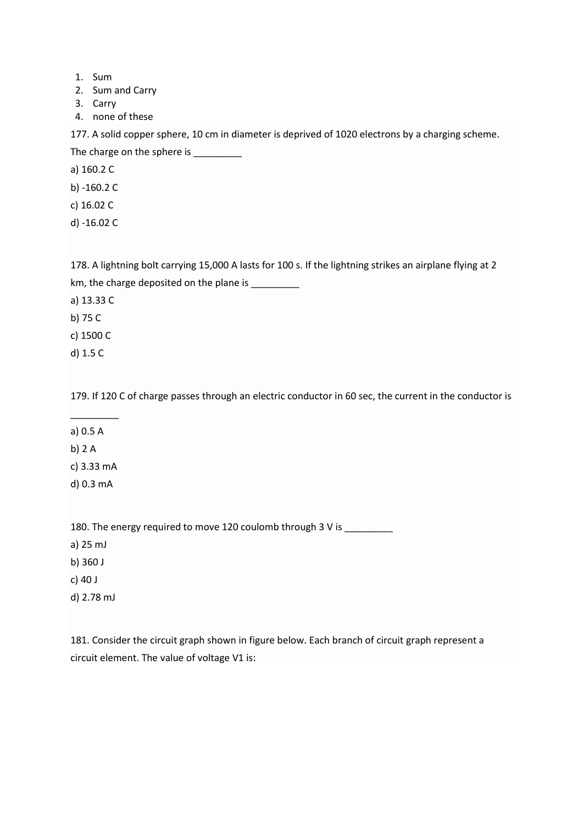- 1. Sum
- 2. Sum and Carry
- 3. Carry
- 4. none of these

177. A solid copper sphere, 10 cm in diameter is deprived of 1020 electrons by a charging scheme. The charge on the sphere is \_\_\_\_\_\_\_\_\_\_\_

a) 160.2 C

- b) -160.2 C
- c) 16.02 C
- d) -16.02 C

178. A lightning bolt carrying 15,000 A lasts for 100 s. If the lightning strikes an airplane flying at 2 km, the charge deposited on the plane is \_\_\_\_\_\_\_\_\_

a) 13.33 C

b) 75 C

c) 1500 C

d) 1.5 C

179. If 120 C of charge passes through an electric conductor in 60 sec, the current in the conductor is

- \_\_\_\_\_\_\_\_\_ a) 0.5 A
- b) 2 A
- c) 3.33 mA
- d) 0.3 mA

180. The energy required to move 120 coulomb through 3 V is \_\_\_\_\_\_\_\_

- a) 25 mJ
- b) 360 J
- c) 40 J
- d) 2.78 mJ

181. Consider the circuit graph shown in figure below. Each branch of circuit graph represent a circuit element. The value of voltage V1 is: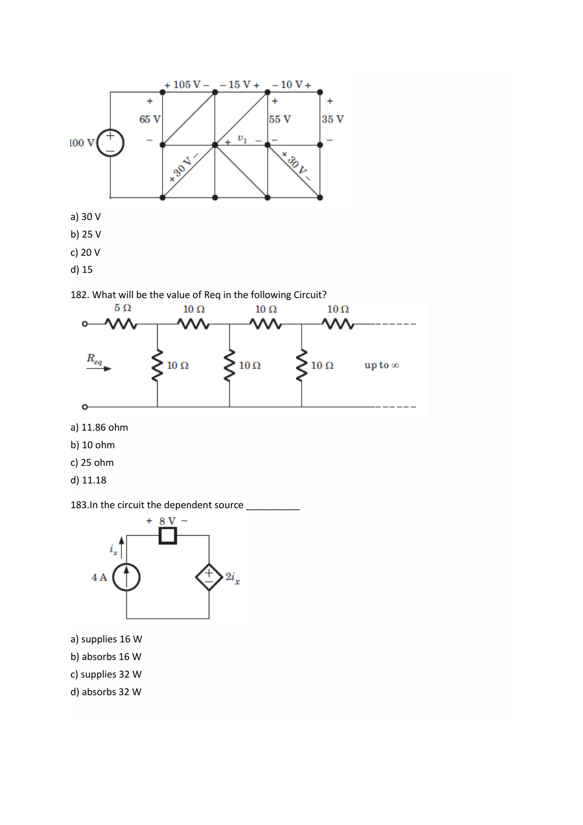



- a) 11.86 ohm
- b) 10 ohm
- c) 25 ohm
- d) 11.18





- c) supplies 32 W
- d) absorbs 32 W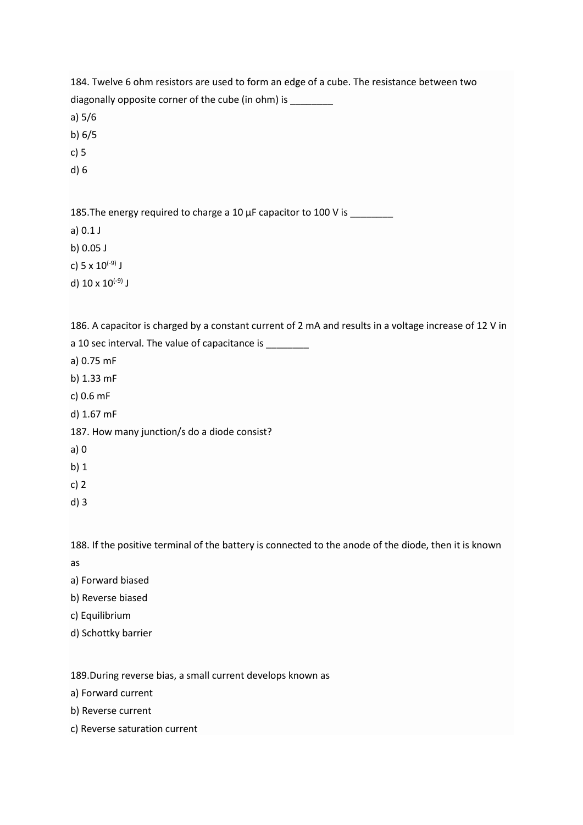184. Twelve 6 ohm resistors are used to form an edge of a cube. The resistance between two diagonally opposite corner of the cube (in ohm) is \_\_\_\_\_\_\_ a) 5/6 b) 6/5 c) 5 d) 6 185. The energy required to charge a 10 µF capacitor to 100 V is \_\_\_\_\_\_\_\_ a) 0.1 J b) 0.05 J c) 5 x  $10^{(-9)}$  J d)  $10 \times 10^{(-9)}$  J 186. A capacitor is charged by a constant current of 2 mA and results in a voltage increase of 12 V in a 10 sec interval. The value of capacitance is a) 0.75 mF b) 1.33 mF c) 0.6 mF d) 1.67 mF 187. How many junction/s do a diode consist? a) 0 b) 1 c) 2 d) 3 188. If the positive terminal of the battery is connected to the anode of the diode, then it is known as a) Forward biased b) Reverse biased c) Equilibrium d) Schottky barrier 189.During reverse bias, a small current develops known as a) Forward current b) Reverse current

c) Reverse saturation current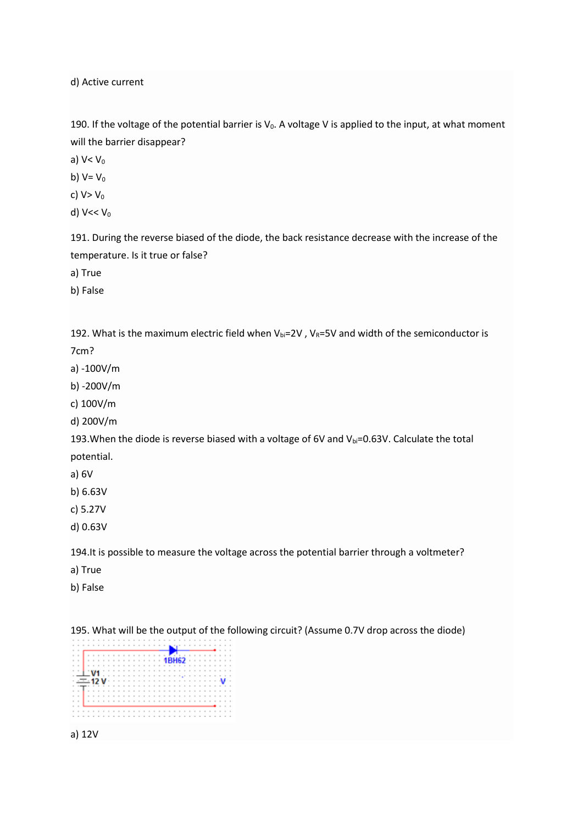d) Active current

190. If the voltage of the potential barrier is  $V_0$ . A voltage V is applied to the input, at what moment will the barrier disappear?

a)  $V < V_0$ 

b)  $V=V_0$ 

c)  $V > V_0$ 

d)  $V << V_0$ 

191. During the reverse biased of the diode, the back resistance decrease with the increase of the temperature. Is it true or false?

a) True

b) False

192. What is the maximum electric field when  $V_{bi}=2V$ ,  $V_R=5V$  and width of the semiconductor is

7cm?

a) -100V/m

b) -200V/m

c) 100V/m

d) 200V/m

193. When the diode is reverse biased with a voltage of 6V and Vbi=0.63V. Calculate the total potential.

a) 6V

b) 6.63V

c) 5.27V

d) 0.63V

194.It is possible to measure the voltage across the potential barrier through a voltmeter?

a) True

b) False

195. What will be the output of the following circuit? (Assume 0.7V drop across the diode)



a) 12V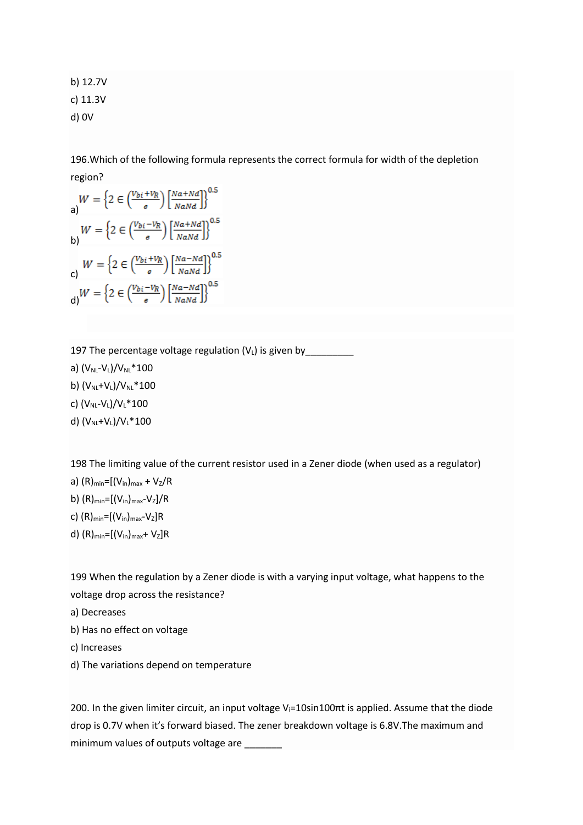b) 12.7V c) 11.3V d) 0V

196.Which of the following formula represents the correct formula for width of the depletion region?

a)  
\n
$$
W = \left\{ 2 \in \left( \frac{v_{bi} + v_R}{e} \right) \left[ \frac{Na + Nd}{NaNd} \right] \right\}^{0.5}
$$
\nb)  
\n
$$
W = \left\{ 2 \in \left( \frac{v_{bi} - v_R}{e} \right) \left[ \frac{Na + Nd}{NaNd} \right] \right\}^{0.5}
$$
\nc)  
\nc)  
\n
$$
W = \left\{ 2 \in \left( \frac{v_{bi} + v_R}{e} \right) \left[ \frac{Na - Nd}{NaNd} \right] \right\}^{0.5}
$$
\nd)  
\n
$$
W = \left\{ 2 \in \left( \frac{v_{bi} - v_R}{e} \right) \left[ \frac{Na - Nd}{NaNd} \right] \right\}^{0.5}
$$

197 The percentage voltage regulation  $(V_L)$  is given by

a)  $(V_{NL}-V_{L})/V_{NL}*100$ b)  $(V_{NL}+V_{L})/V_{NL}*100$ 

c)  $(V_{NL}-V_{L})/V_{L}*100$ 

d) (V<sub>NL</sub>+V<sub>L</sub>)/V<sub>L</sub>\*100

198 The limiting value of the current resistor used in a Zener diode (when used as a regulator)

a) 
$$
(R)_{\min}=[(V_{\text{in}})_{\max}+V_{Z}/R]
$$

b)  $(R)_{min}=[(V_{in})_{max}-V_{Z}]/R$ 

- c)  $(R)_{min}=[(V_{in})_{max}-V_{Z}]R$
- d)  $(R)_{min}=[(V_{in})_{max}+V_{Z}]R$

199 When the regulation by a Zener diode is with a varying input voltage, what happens to the voltage drop across the resistance?

- a) Decreases
- b) Has no effect on voltage
- c) Increases
- d) The variations depend on temperature

200. In the given limiter circuit, an input voltage V<sub>i</sub>=10sin100πt is applied. Assume that the diode drop is 0.7V when it's forward biased. The zener breakdown voltage is 6.8V.The maximum and minimum values of outputs voltage are \_\_\_\_\_\_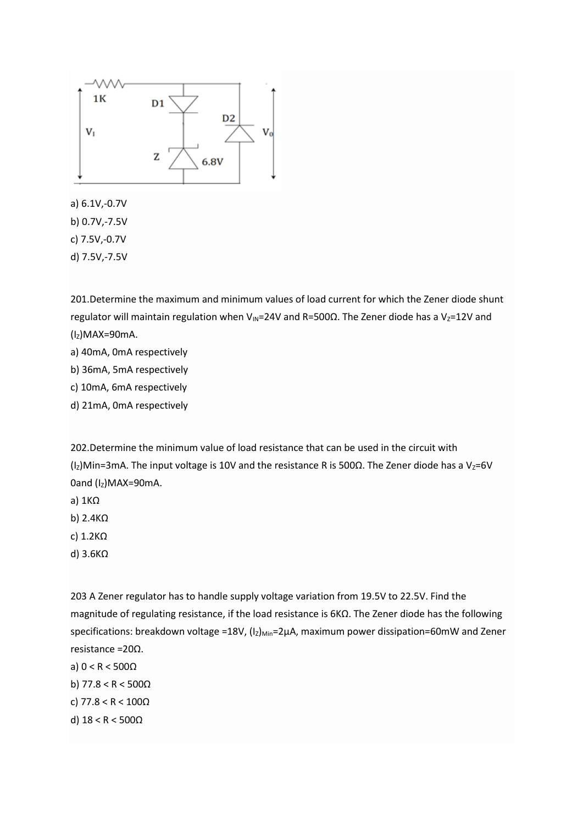

a) 6.1V,-0.7V b) 0.7V,-7.5V

c) 7.5V,-0.7V

d) 7.5V,-7.5V

201.Determine the maximum and minimum values of load current for which the Zener diode shunt regulator will maintain regulation when V<sub>IN</sub>=24V and R=500 $\Omega$ . The Zener diode has a V<sub>Z</sub>=12V and  $(I<sub>Z</sub>)$ MAX=90mA.

- a) 40mA, 0mA respectively
- b) 36mA, 5mA respectively
- c) 10mA, 6mA respectively
- d) 21mA, 0mA respectively

202.Determine the minimum value of load resistance that can be used in the circuit with (Iz)Min=3mA. The input voltage is 10V and the resistance R is 500Ω. The Zener diode has a Vz=6V 0and  $(I<sub>Z</sub>)$ MAX=90mA.

- a) 1KΩ
- b) 2.4KΩ
- c) 1.2KΩ
- d) 3.6KΩ

203 A Zener regulator has to handle supply voltage variation from 19.5V to 22.5V. Find the magnitude of regulating resistance, if the load resistance is 6KΩ. The Zener diode has the following specifications: breakdown voltage =18V,  $(I_z)_{Min}$ =2µA, maximum power dissipation=60mW and Zener resistance =20Ω.

- a) 0 < R < 500Ω
- b) 77.8 < R < 500Ω

c) 77.8 < R < 100Ω

d) 18 < R < 500Ω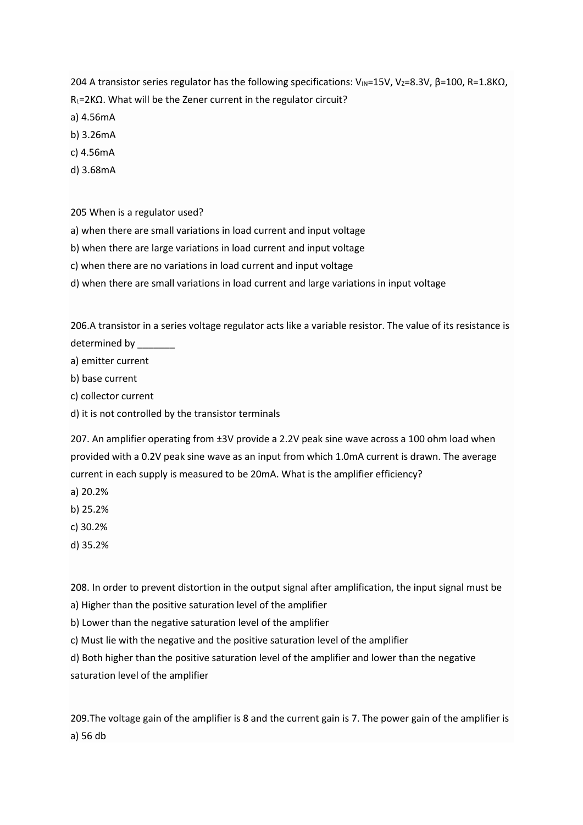204 A transistor series regulator has the following specifications: V<sub>IN</sub>=15V, V<sub>Z</sub>=8.3V, β=100, R=1.8KΩ, R<sub>L</sub>=2KΩ. What will be the Zener current in the regulator circuit?

- a) 4.56mA
- b) 3.26mA
- c) 4.56mA
- d) 3.68mA

205 When is a regulator used?

- a) when there are small variations in load current and input voltage
- b) when there are large variations in load current and input voltage
- c) when there are no variations in load current and input voltage
- d) when there are small variations in load current and large variations in input voltage

206.A transistor in a series voltage regulator acts like a variable resistor. The value of its resistance is determined by

a) emitter current

b) base current

- c) collector current
- d) it is not controlled by the transistor terminals

207. An amplifier operating from  $\pm 3V$  provide a 2.2V peak sine wave across a 100 ohm load when provided with a 0.2V peak sine wave as an input from which 1.0mA current is drawn. The average current in each supply is measured to be 20mA. What is the amplifier efficiency?

- a) 20.2%
- b) 25.2%
- c) 30.2%
- d) 35.2%

208. In order to prevent distortion in the output signal after amplification, the input signal must be

a) Higher than the positive saturation level of the amplifier

b) Lower than the negative saturation level of the amplifier

c) Must lie with the negative and the positive saturation level of the amplifier

d) Both higher than the positive saturation level of the amplifier and lower than the negative saturation level of the amplifier

209.The voltage gain of the amplifier is 8 and the current gain is 7. The power gain of the amplifier is a) 56 db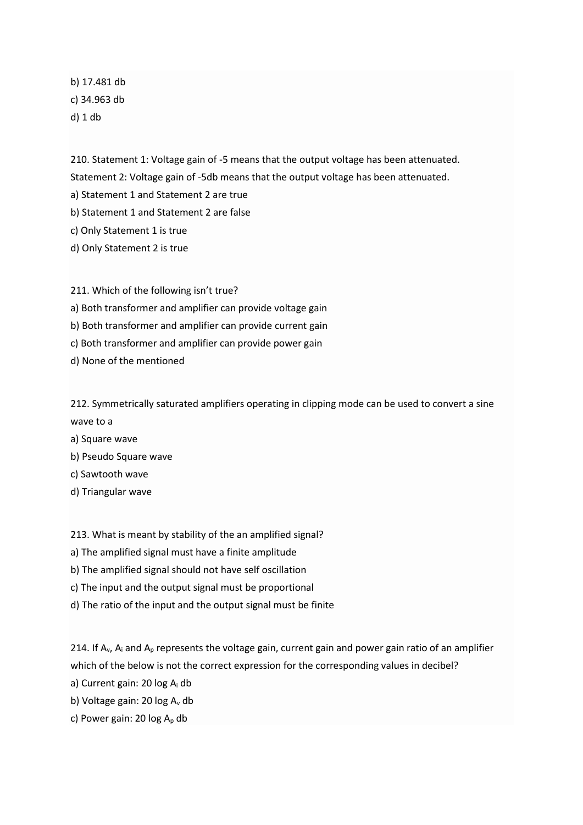b) 17.481 db c) 34.963 db d) 1 db

210. Statement 1: Voltage gain of -5 means that the output voltage has been attenuated.

Statement 2: Voltage gain of -5db means that the output voltage has been attenuated.

a) Statement 1 and Statement 2 are true

b) Statement 1 and Statement 2 are false

c) Only Statement 1 is true

d) Only Statement 2 is true

211. Which of the following isn't true? a) Both transformer and amplifier can provide voltage gain b) Both transformer and amplifier can provide current gain c) Both transformer and amplifier can provide power gain d) None of the mentioned

212. Symmetrically saturated amplifiers operating in clipping mode can be used to convert a sine wave to a

- a) Square wave
- b) Pseudo Square wave
- c) Sawtooth wave
- d) Triangular wave

213. What is meant by stability of the an amplified signal?

a) The amplified signal must have a finite amplitude

b) The amplified signal should not have self oscillation

c) The input and the output signal must be proportional

d) The ratio of the input and the output signal must be finite

214. If  $A_v$ ,  $A_i$  and  $A_p$  represents the voltage gain, current gain and power gain ratio of an amplifier which of the below is not the correct expression for the corresponding values in decibel?

a) Current gain: 20 log A<sup>i</sup> db

b) Voltage gain: 20 log A<sub>v</sub> db

c) Power gain: 20  $log A<sub>p</sub>$  db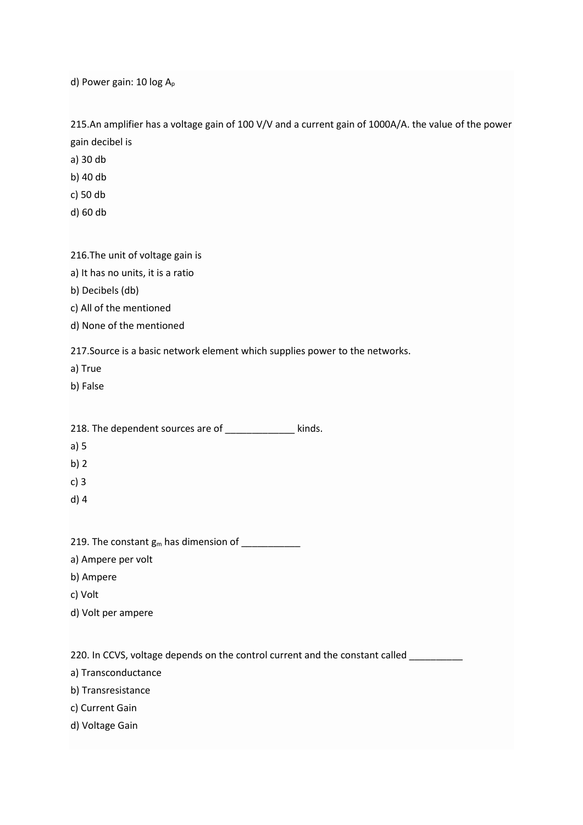d) Power gain: 10 log A<sub>p</sub>

215.An amplifier has a voltage gain of 100 V/V and a current gain of 1000A/A. the value of the power gain decibel is

a) 30 db

b) 40 db

c) 50 db

d) 60 db

#### 216.The unit of voltage gain is

a) It has no units, it is a ratio

b) Decibels (db)

c) All of the mentioned

d) None of the mentioned

217.Source is a basic network element which supplies power to the networks.

a) True

b) False

218. The dependent sources are of \_\_\_\_\_\_\_\_\_\_\_ kinds.

- a) 5
- b) 2
- c) 3
- d) 4

219. The constant  $g_m$  has dimension of

a) Ampere per volt

b) Ampere

c) Volt

d) Volt per ampere

220. In CCVS, voltage depends on the control current and the constant called

a) Transconductance

b) Transresistance

c) Current Gain

d) Voltage Gain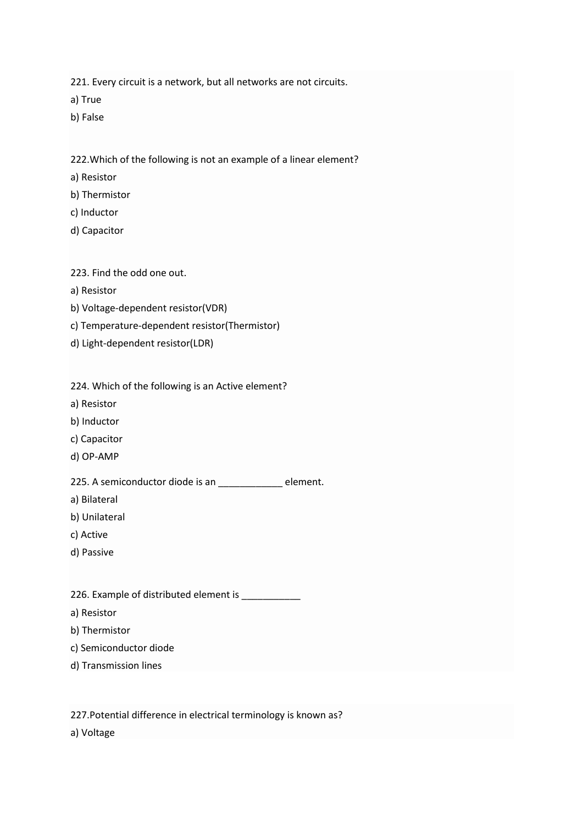221. Every circuit is a network, but all networks are not circuits.

a) True

b) False

222.Which of the following is not an example of a linear element?

a) Resistor

- b) Thermistor
- c) Inductor
- d) Capacitor

223. Find the odd one out.

- a) Resistor
- b) Voltage-dependent resistor(VDR)
- c) Temperature-dependent resistor(Thermistor)
- d) Light-dependent resistor(LDR)

224. Which of the following is an Active element?

- a) Resistor
- b) Inductor
- c) Capacitor
- d) OP-AMP

225. A semiconductor diode is an \_\_\_\_\_\_\_\_\_\_\_\_ element.

a) Bilateral

- b) Unilateral
- c) Active
- d) Passive

226. Example of distributed element is

- a) Resistor
- b) Thermistor
- c) Semiconductor diode
- d) Transmission lines

227.Potential difference in electrical terminology is known as?

a) Voltage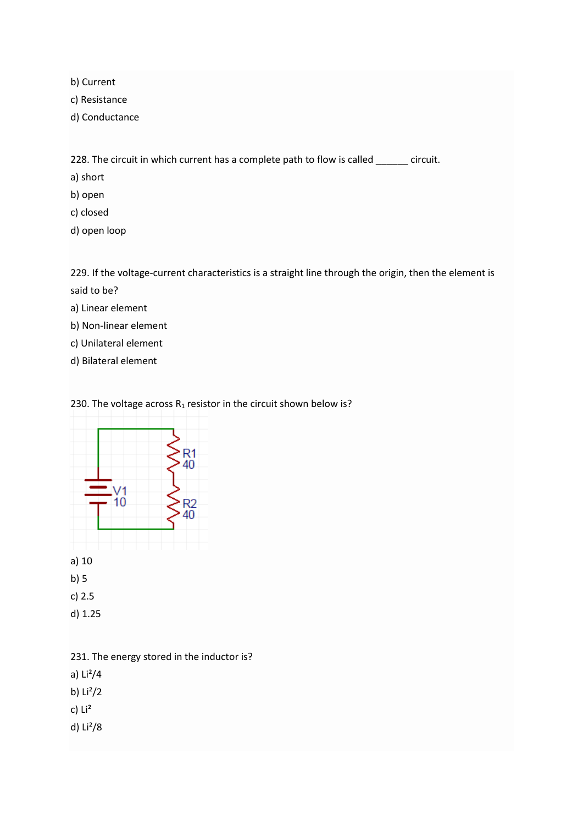b) Current

c) Resistance

d) Conductance

228. The circuit in which current has a complete path to flow is called \_\_\_\_\_\_ circuit.

a) short

- b) open
- c) closed
- d) open loop

229. If the voltage-current characteristics is a straight line through the origin, then the element is said to be?

- a) Linear element
- b) Non-linear element
- c) Unilateral element
- d) Bilateral element

230. The voltage across  $R_1$  resistor in the circuit shown below is?



231. The energy stored in the inductor is? a) Li²/4 b)  $Li^2/2$ c) Li² d) Li²/8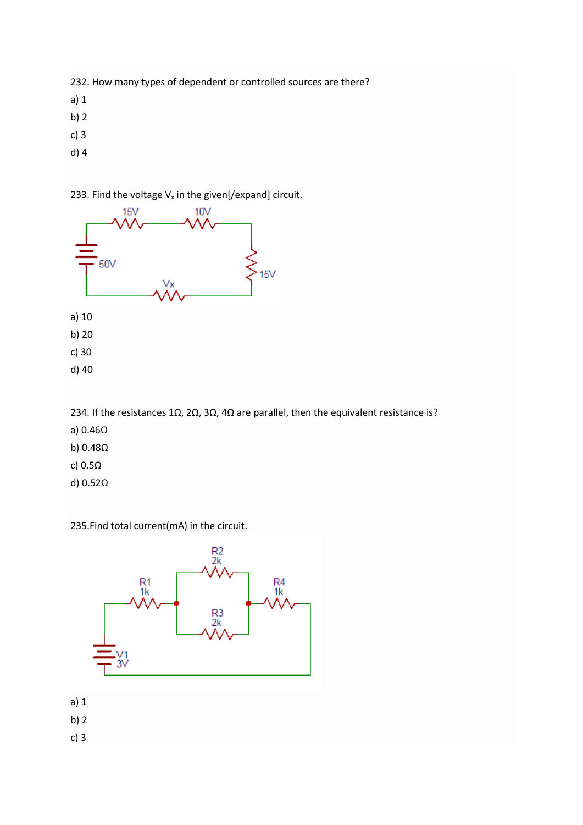232. How many types of dependent or controlled sources are there?

- a) 1
- b) 2
- c) 3
- d) 4

233. Find the voltage  $V_x$  in the given[/expand] circuit.



234. If the resistances 1Ω, 2Ω, 3Ω, 4Ω are parallel, then the equivalent resistance is?

- a) 0.46Ω
- b) 0.48Ω
- c) 0.5Ω
- d) 0.52Ω

235.Find total current(mA) in the circuit.



- a) 1
- b) 2

c) 3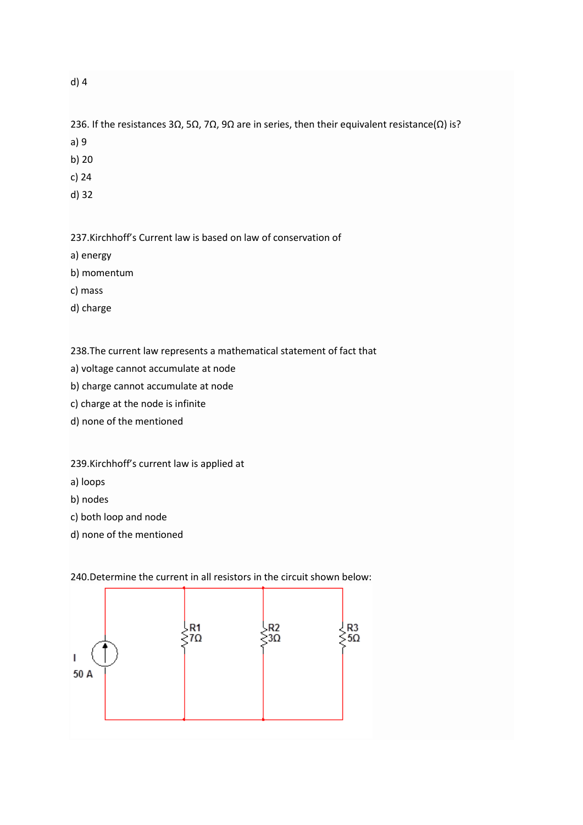### d) 4

236. If the resistances 3Ω, 5Ω, 7Ω, 9Ω are in series, then their equivalent resistance( $Ω$ ) is?

a) 9

b) 20

c) 24

d) 32

237.Kirchhoff's Current law is based on law of conservation of

a) energy

b) momentum

c) mass

d) charge

238.The current law represents a mathematical statement of fact that

a) voltage cannot accumulate at node

b) charge cannot accumulate at node

c) charge at the node is infinite

d) none of the mentioned

239.Kirchhoff's current law is applied at

a) loops

b) nodes

c) both loop and node

d) none of the mentioned

↓R3<br>>5Ω R<sub>1</sub> R<sub>2</sub>  $7\Omega$  $3\Omega$  $\mathbf{I}$ 50 A

240.Determine the current in all resistors in the circuit shown below: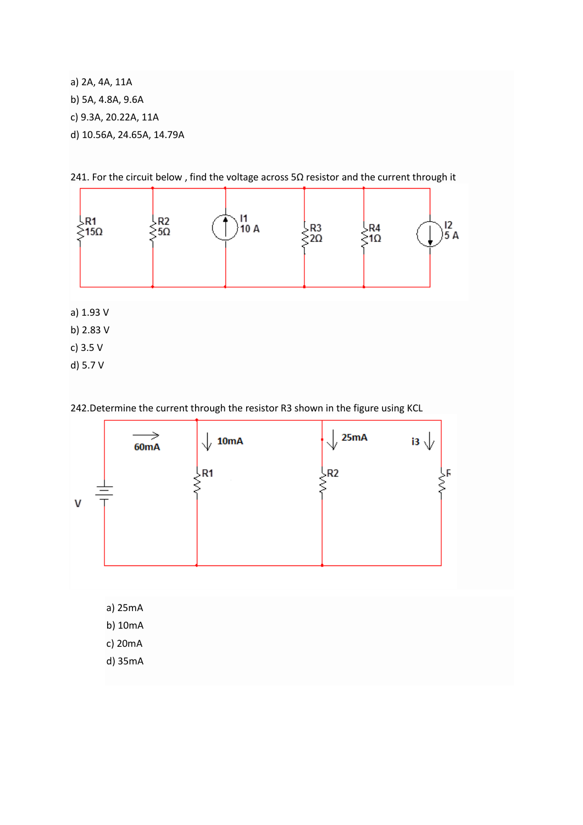a) 2A, 4A, 11A b) 5A, 4.8A, 9.6A c) 9.3A, 20.22A, 11A d) 10.56A, 24.65A, 14.79A

241. For the circuit below , find the voltage across 5Ω resistor and the current through it



a) 1.93 V

b) 2.83 V

- c) 3.5 V
- d) 5.7 V

242.Determine the current through the resistor R3 shown in the figure using KCL



a) 25mA

- b) 10mA
- c) 20mA
- d) 35mA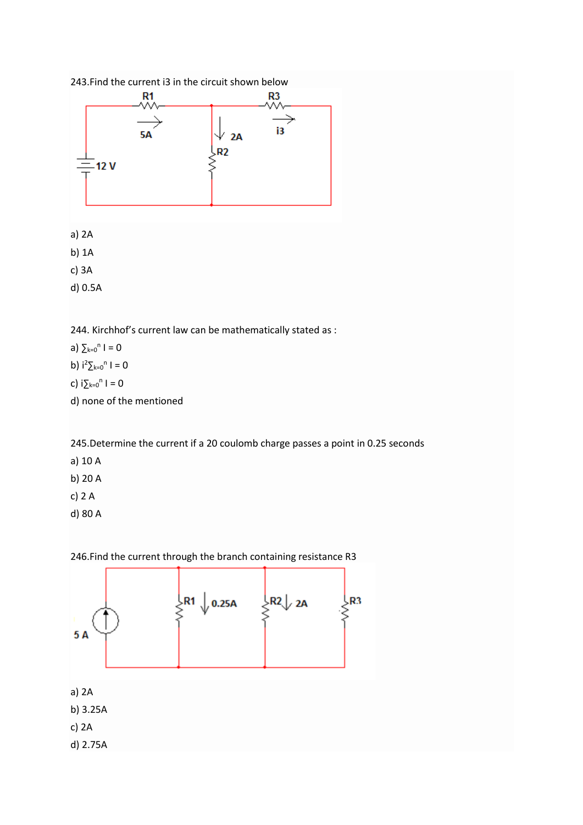

d) none of the mentioned

245.Determine the current if a 20 coulomb charge passes a point in 0.25 seconds

- a) 10 A
- b) 20 A
- c) 2 A
- d) 80 A



246.Find the current through the branch containing resistance R3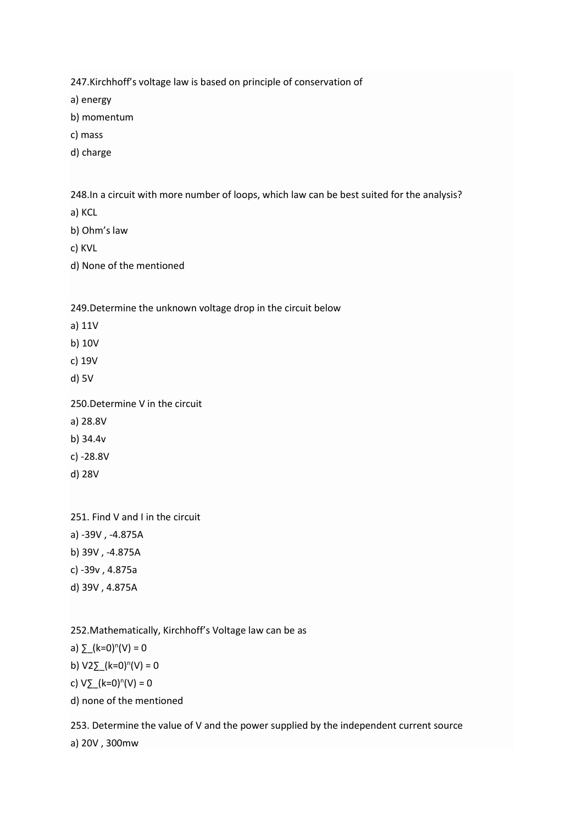247.Kirchhoff's voltage law is based on principle of conservation of

a) energy

b) momentum

c) mass

d) charge

248.In a circuit with more number of loops, which law can be best suited for the analysis?

a) KCL

b) Ohm's law

c) KVL

d) None of the mentioned

249.Determine the unknown voltage drop in the circuit below

a) 11V

b) 10V

c) 19V

d) 5V

250.Determine V in the circuit

a) 28.8V

b) 34.4v

c) -28.8V

d) 28V

251. Find V and I in the circuit

a) -39V , -4.875A

b) 39V , -4.875A

c) -39v , 4.875a

d) 39V , 4.875A

252.Mathematically, Kirchhoff's Voltage law can be as

a)  $\Sigma(k=0)^n(V) = 0$ 

b)  $V2\sum (k=0)^n(V) = 0$ 

c)  $V_{\text{max}}$ (k=0)<sup>n</sup>(V) = 0

d) none of the mentioned

253. Determine the value of V and the power supplied by the independent current source

a) 20V , 300mw